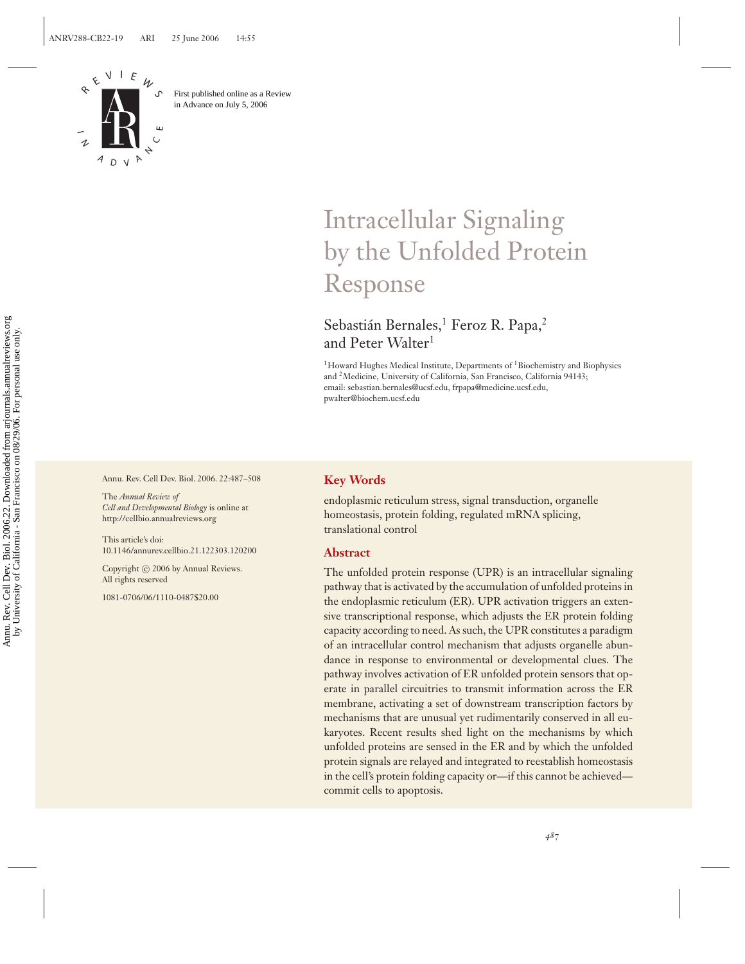

First published online as a Review in Advance on July 5, 2006

# Intracellular Signaling by the Unfolded Protein Response

# Sebastián Bernales,<sup>1</sup> Feroz R. Papa,<sup>2</sup> and Peter Walter<sup>1</sup>

<sup>1</sup>Howard Hughes Medical Institute, Departments of <sup>1</sup>Biochemistry and Biophysics and 2Medicine, University of California, San Francisco, California 94143; email: sebastian.bernales@ucsf.edu, frpapa@medicine.ucsf.edu, pwalter@biochem.ucsf.edu

Annu. Rev. Cell Dev. Biol. 2006. 22:487–508

The *Annual Review of Cell and Developmental Biology* is online at http://cellbio.annualreviews.org

This article's doi: 10.1146/annurev.cellbio.21.122303.120200

Copyright  $\odot$  2006 by Annual Reviews. All rights reserved

1081-0706/06/1110-0487\$20.00

### **Key Words**

endoplasmic reticulum stress, signal transduction, organelle homeostasis, protein folding, regulated mRNA splicing, translational control

### **Abstract**

The unfolded protein response (UPR) is an intracellular signaling pathway that is activated by the accumulation of unfolded proteins in the endoplasmic reticulum (ER). UPR activation triggers an extensive transcriptional response, which adjusts the ER protein folding capacity according to need. As such, the UPR constitutes a paradigm of an intracellular control mechanism that adjusts organelle abundance in response to environmental or developmental clues. The pathway involves activation of ER unfolded protein sensors that operate in parallel circuitries to transmit information across the ER membrane, activating a set of downstream transcription factors by mechanisms that are unusual yet rudimentarily conserved in all eukaryotes. Recent results shed light on the mechanisms by which unfolded proteins are sensed in the ER and by which the unfolded protein signals are relayed and integrated to reestablish homeostasis in the cell's protein folding capacity or—if this cannot be achieved commit cells to apoptosis.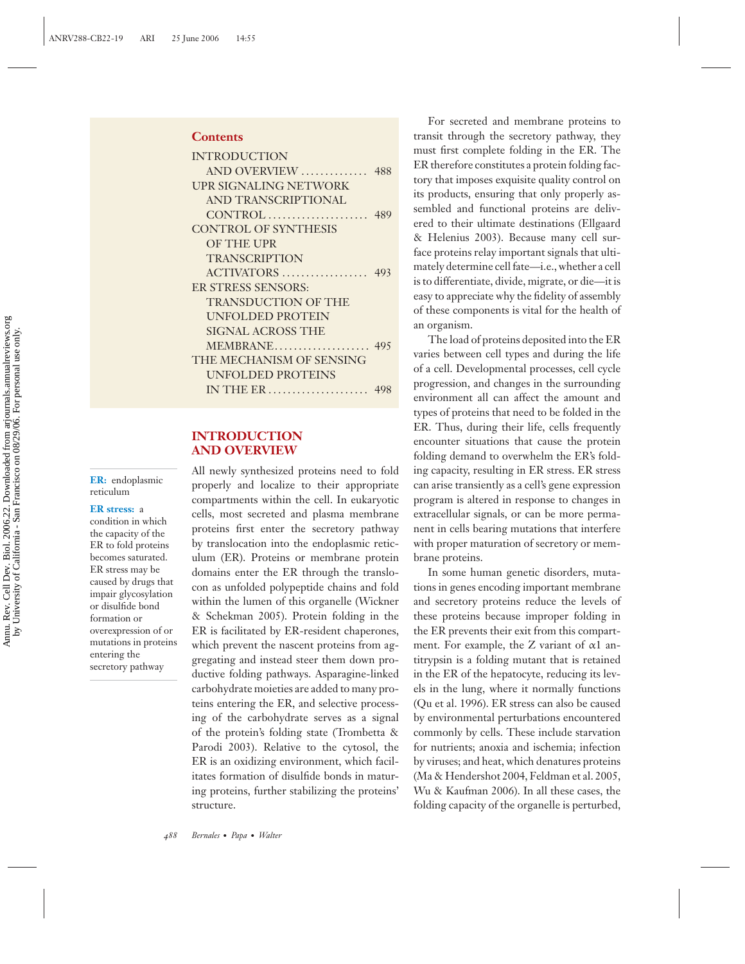**ER:** endoplasmic reticulum **ER stress:** a condition in which the capacity of the ER to fold proteins becomes saturated. ER stress may be caused by drugs that impair glycosylation or disulfide bond formation or overexpression of or mutations in proteins entering the secretory pathway

### **Contents**

| AND OVERVIEW  488 |
|-------------------|
|                   |
|                   |
|                   |
|                   |
|                   |
|                   |
|                   |
|                   |
|                   |
|                   |
|                   |
|                   |
|                   |
|                   |
| 498               |
|                   |

## **INTRODUCTION AND OVERVIEW**

All newly synthesized proteins need to fold properly and localize to their appropriate compartments within the cell. In eukaryotic cells, most secreted and plasma membrane proteins first enter the secretory pathway by translocation into the endoplasmic reticulum (ER). Proteins or membrane protein domains enter the ER through the translocon as unfolded polypeptide chains and fold within the lumen of this organelle (Wickner & Schekman 2005). Protein folding in the ER is facilitated by ER-resident chaperones, which prevent the nascent proteins from aggregating and instead steer them down productive folding pathways. Asparagine-linked carbohydrate moieties are added to many proteins entering the ER, and selective processing of the carbohydrate serves as a signal of the protein's folding state (Trombetta & Parodi 2003). Relative to the cytosol, the ER is an oxidizing environment, which facilitates formation of disulfide bonds in maturing proteins, further stabilizing the proteins' structure.

For secreted and membrane proteins to transit through the secretory pathway, they must first complete folding in the ER. The ER therefore constitutes a protein folding factory that imposes exquisite quality control on its products, ensuring that only properly assembled and functional proteins are delivered to their ultimate destinations (Ellgaard & Helenius 2003). Because many cell surface proteins relay important signals that ultimately determine cell fate—i.e., whether a cell is to differentiate, divide, migrate, or die—it is easy to appreciate why the fidelity of assembly of these components is vital for the health of an organism.

The load of proteins deposited into the ER varies between cell types and during the life of a cell. Developmental processes, cell cycle progression, and changes in the surrounding environment all can affect the amount and types of proteins that need to be folded in the ER. Thus, during their life, cells frequently encounter situations that cause the protein folding demand to overwhelm the ER's folding capacity, resulting in ER stress. ER stress can arise transiently as a cell's gene expression program is altered in response to changes in extracellular signals, or can be more permanent in cells bearing mutations that interfere with proper maturation of secretory or membrane proteins.

In some human genetic disorders, mutations in genes encoding important membrane and secretory proteins reduce the levels of these proteins because improper folding in the ER prevents their exit from this compartment. For example, the Z variant of  $\alpha$ 1 antitrypsin is a folding mutant that is retained in the ER of the hepatocyte, reducing its levels in the lung, where it normally functions (Qu et al. 1996). ER stress can also be caused by environmental perturbations encountered commonly by cells. These include starvation for nutrients; anoxia and ischemia; infection by viruses; and heat, which denatures proteins (Ma & Hendershot 2004, Feldman et al. 2005, Wu & Kaufman 2006). In all these cases, the folding capacity of the organelle is perturbed,

Annu. Rev. Cell Dev. Biol. 2006.22. Downloaded from arjournals.amualreviews.org<br>by University of California - San Francisco on 08/29/06. For personal use only. Annu. Rev. Cell Dev. Biol. 2006.22. Downloaded from arjournals.annualreviews.org by University of California - San Francisco on 08/29/06. For personal use only.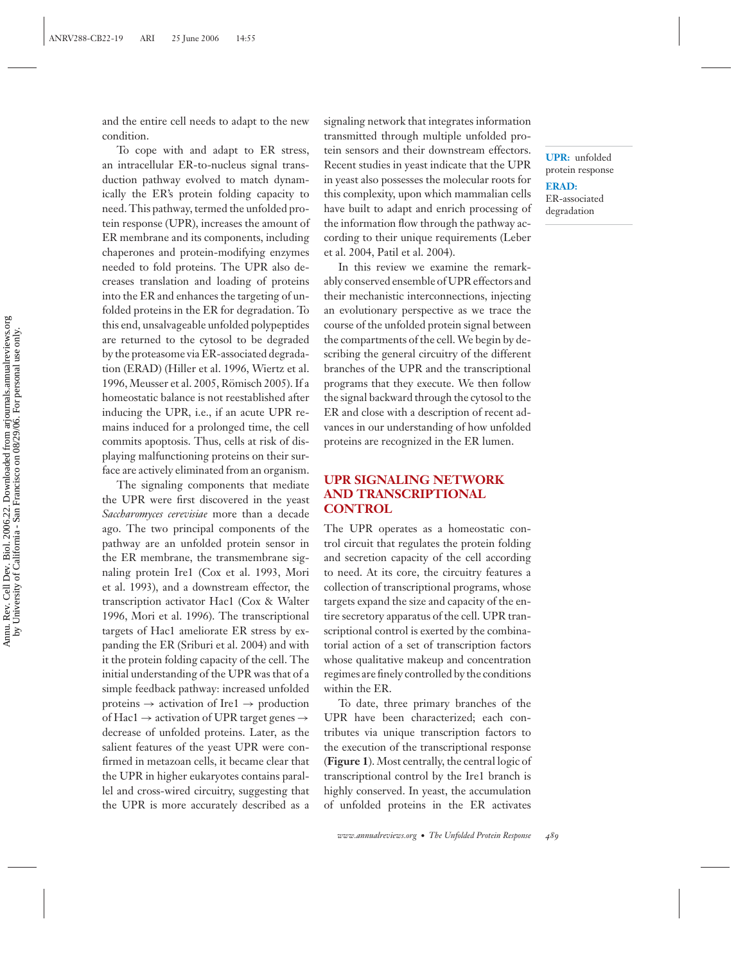and the entire cell needs to adapt to the new condition.

To cope with and adapt to ER stress, an intracellular ER-to-nucleus signal transduction pathway evolved to match dynamically the ER's protein folding capacity to need. This pathway, termed the unfolded protein response (UPR), increases the amount of ER membrane and its components, including chaperones and protein-modifying enzymes needed to fold proteins. The UPR also decreases translation and loading of proteins into the ER and enhances the targeting of unfolded proteins in the ER for degradation. To this end, unsalvageable unfolded polypeptides are returned to the cytosol to be degraded by the proteasome via ER-associated degradation (ERAD) (Hiller et al. 1996, Wiertz et al. 1996, Meusser et al. 2005, Romisch 2005). If a ¨ homeostatic balance is not reestablished after inducing the UPR, i.e., if an acute UPR remains induced for a prolonged time, the cell commits apoptosis. Thus, cells at risk of displaying malfunctioning proteins on their surface are actively eliminated from an organism.

The signaling components that mediate the UPR were first discovered in the yeast *Saccharomyces cerevisiae* more than a decade ago. The two principal components of the pathway are an unfolded protein sensor in the ER membrane, the transmembrane signaling protein Ire1 (Cox et al. 1993, Mori et al. 1993), and a downstream effector, the transcription activator Hac1 (Cox & Walter 1996, Mori et al. 1996). The transcriptional targets of Hac1 ameliorate ER stress by expanding the ER (Sriburi et al. 2004) and with it the protein folding capacity of the cell. The initial understanding of the UPR was that of a simple feedback pathway: increased unfolded proteins  $\rightarrow$  activation of Ire1  $\rightarrow$  production of Hac1  $\rightarrow$  activation of UPR target genes  $\rightarrow$ decrease of unfolded proteins. Later, as the salient features of the yeast UPR were confirmed in metazoan cells, it became clear that the UPR in higher eukaryotes contains parallel and cross-wired circuitry, suggesting that the UPR is more accurately described as a signaling network that integrates information transmitted through multiple unfolded protein sensors and their downstream effectors. Recent studies in yeast indicate that the UPR in yeast also possesses the molecular roots for this complexity, upon which mammalian cells have built to adapt and enrich processing of the information flow through the pathway according to their unique requirements (Leber et al. 2004, Patil et al. 2004).

In this review we examine the remarkably conserved ensemble of UPR effectors and their mechanistic interconnections, injecting an evolutionary perspective as we trace the course of the unfolded protein signal between the compartments of the cell. We begin by describing the general circuitry of the different branches of the UPR and the transcriptional programs that they execute. We then follow the signal backward through the cytosol to the ER and close with a description of recent advances in our understanding of how unfolded proteins are recognized in the ER lumen.

## **UPR SIGNALING NETWORK AND TRANSCRIPTIONAL CONTROL**

The UPR operates as a homeostatic control circuit that regulates the protein folding and secretion capacity of the cell according to need. At its core, the circuitry features a collection of transcriptional programs, whose targets expand the size and capacity of the entire secretory apparatus of the cell. UPR transcriptional control is exerted by the combinatorial action of a set of transcription factors whose qualitative makeup and concentration regimes are finely controlled by the conditions within the ER.

To date, three primary branches of the UPR have been characterized; each contributes via unique transcription factors to the execution of the transcriptional response (**Figure 1**). Most centrally, the central logic of transcriptional control by the Ire1 branch is highly conserved. In yeast, the accumulation of unfolded proteins in the ER activates **UPR:** unfolded protein response **ERAD:**

ER-associated degradation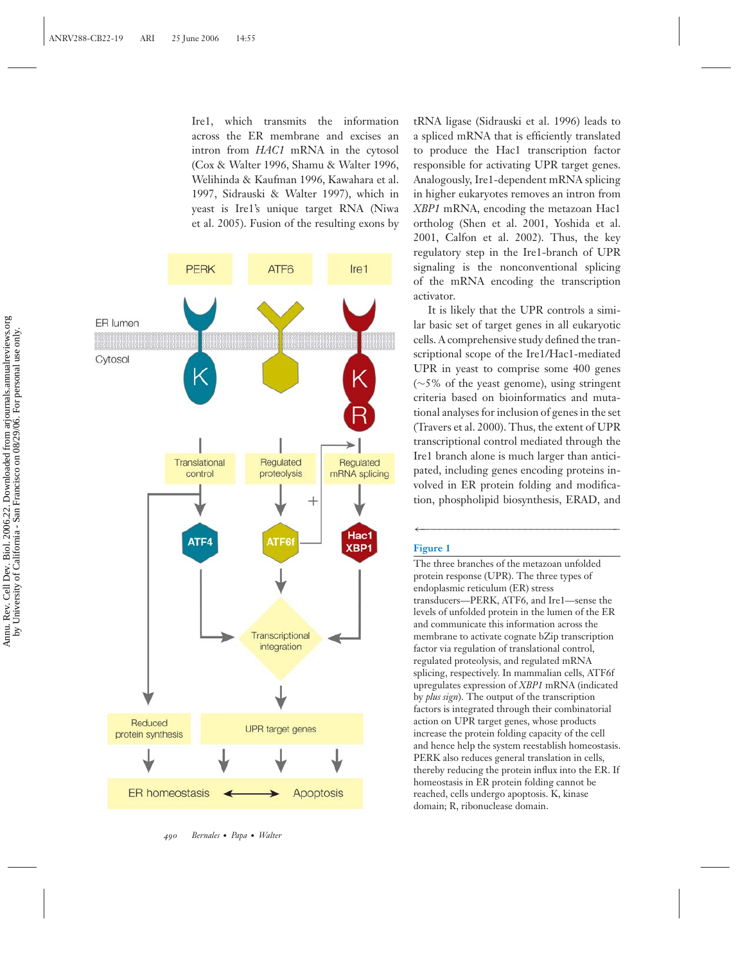Ire1, which transmits the information across the ER membrane and excises an intron from *HAC1* mRNA in the cytosol (Cox & Walter 1996, Shamu & Walter 1996, Welihinda & Kaufman 1996, Kawahara et al. 1997, Sidrauski & Walter 1997), which in yeast is Ire1's unique target RNA (Niwa et al. 2005). Fusion of the resulting exons by



*490 Bernales* · *Papa* · *Walter*

tRNA ligase (Sidrauski et al. 1996) leads to a spliced mRNA that is efficiently translated to produce the Hac1 transcription factor responsible for activating UPR target genes. Analogously, Ire1-dependent mRNA splicing in higher eukaryotes removes an intron from *XBP1* mRNA, encoding the metazoan Hac1 ortholog (Shen et al. 2001, Yoshida et al. 2001, Calfon et al. 2002). Thus, the key regulatory step in the Ire1-branch of UPR signaling is the nonconventional splicing of the mRNA encoding the transcription activator.

It is likely that the UPR controls a similar basic set of target genes in all eukaryotic cells. A comprehensive study defined the transcriptional scope of the Ire1/Hac1-mediated UPR in yeast to comprise some 400 genes (∼5% of the yeast genome), using stringent criteria based on bioinformatics and mutational analyses for inclusion of genes in the set (Travers et al. 2000). Thus, the extent of UPR transcriptional control mediated through the Ire1 branch alone is much larger than anticipated, including genes encoding proteins involved in ER protein folding and modification, phospholipid biosynthesis, ERAD, and

←−−−−−−−−−−−−−−−−−−−−−−−−−−−−−−−−−

#### **Figure 1**

The three branches of the metazoan unfolded protein response (UPR). The three types of endoplasmic reticulum (ER) stress transducers—PERK, ATF6, and Ire1—sense the levels of unfolded protein in the lumen of the ER and communicate this information across the membrane to activate cognate bZip transcription factor via regulation of translational control, regulated proteolysis, and regulated mRNA splicing, respectively. In mammalian cells, ATF6f upregulates expression of *XBP1* mRNA (indicated by *plus sign*). The output of the transcription factors is integrated through their combinatorial action on UPR target genes, whose products increase the protein folding capacity of the cell and hence help the system reestablish homeostasis. PERK also reduces general translation in cells, thereby reducing the protein influx into the ER. If homeostasis in ER protein folding cannot be reached, cells undergo apoptosis. K, kinase domain; R, ribonuclease domain.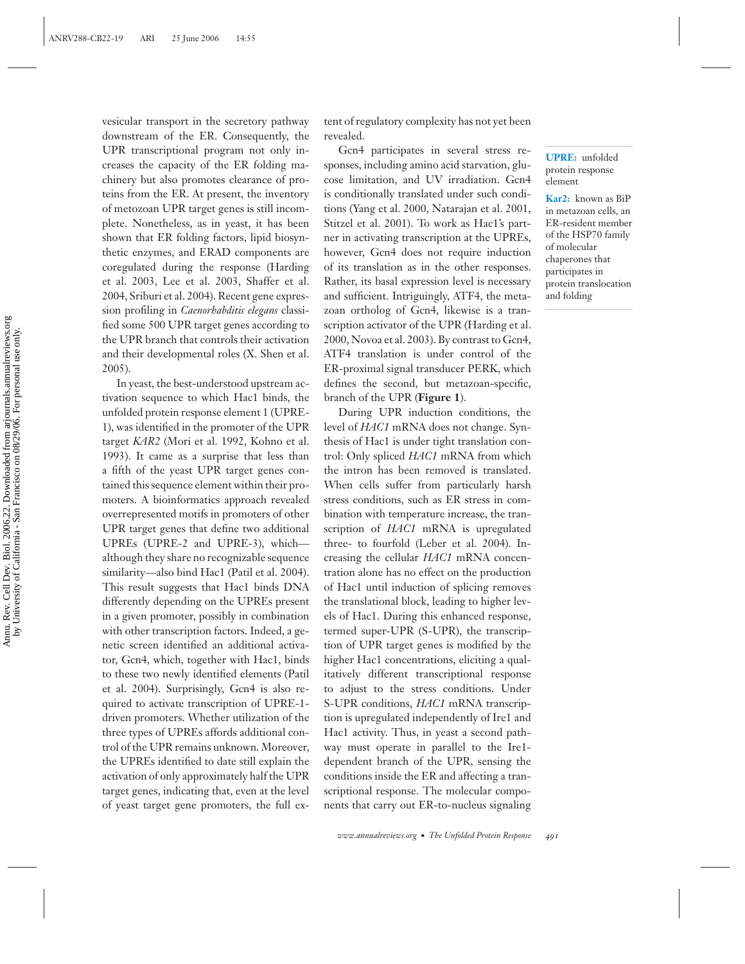vesicular transport in the secretory pathway downstream of the ER. Consequently, the UPR transcriptional program not only increases the capacity of the ER folding machinery but also promotes clearance of proteins from the ER. At present, the inventory of metozoan UPR target genes is still incomplete. Nonetheless, as in yeast, it has been shown that ER folding factors, lipid biosynthetic enzymes, and ERAD components are coregulated during the response (Harding et al. 2003, Lee et al. 2003, Shaffer et al. 2004, Sriburi et al. 2004). Recent gene expression profiling in *Caenorhabditis elegans* classified some 500 UPR target genes according to the UPR branch that controls their activation and their developmental roles (X. Shen et al. 2005).

In yeast, the best-understood upstream activation sequence to which Hac1 binds, the unfolded protein response element 1 (UPRE-1), was identified in the promoter of the UPR target *KAR2* (Mori et al. 1992, Kohno et al. 1993). It came as a surprise that less than a fifth of the yeast UPR target genes contained this sequence element within their promoters. A bioinformatics approach revealed overrepresented motifs in promoters of other UPR target genes that define two additional UPREs (UPRE-2 and UPRE-3), which although they share no recognizable sequence similarity—also bind Hac1 (Patil et al. 2004). This result suggests that Hac1 binds DNA differently depending on the UPREs present in a given promoter, possibly in combination with other transcription factors. Indeed, a genetic screen identified an additional activator, Gcn4, which, together with Hac1, binds to these two newly identified elements (Patil et al. 2004). Surprisingly, Gcn4 is also required to activate transcription of UPRE-1 driven promoters. Whether utilization of the three types of UPREs affords additional control of the UPR remains unknown. Moreover, the UPREs identified to date still explain the activation of only approximately half the UPR target genes, indicating that, even at the level of yeast target gene promoters, the full ex-

tent of regulatory complexity has not yet been revealed.

Gcn4 participates in several stress responses, including amino acid starvation, glucose limitation, and UV irradiation. Gcn4 is conditionally translated under such conditions (Yang et al. 2000, Natarajan et al. 2001, Stitzel et al. 2001). To work as Hac1's partner in activating transcription at the UPREs, however, Gcn4 does not require induction of its translation as in the other responses. Rather, its basal expression level is necessary and sufficient. Intriguingly, ATF4, the metazoan ortholog of Gcn4, likewise is a transcription activator of the UPR (Harding et al. 2000, Novoa et al. 2003). By contrast to Gcn4, ATF4 translation is under control of the ER-proximal signal transducer PERK, which defines the second, but metazoan-specific, branch of the UPR (**Figure 1**).

During UPR induction conditions, the level of *HAC1* mRNA does not change. Synthesis of Hac1 is under tight translation control: Only spliced *HAC1* mRNA from which the intron has been removed is translated. When cells suffer from particularly harsh stress conditions, such as ER stress in combination with temperature increase, the transcription of *HAC1* mRNA is upregulated three- to fourfold (Leber et al. 2004). Increasing the cellular *HAC1* mRNA concentration alone has no effect on the production of Hac1 until induction of splicing removes the translational block, leading to higher levels of Hac1. During this enhanced response, termed super-UPR (S-UPR), the transcription of UPR target genes is modified by the higher Hac1 concentrations, eliciting a qualitatively different transcriptional response to adjust to the stress conditions. Under S-UPR conditions, *HAC1* mRNA transcription is upregulated independently of Ire1 and Hac1 activity. Thus, in yeast a second pathway must operate in parallel to the Ire1 dependent branch of the UPR, sensing the conditions inside the ER and affecting a transcriptional response. The molecular components that carry out ER-to-nucleus signaling **UPRE:** unfolded protein response element

**Kar2:** known as BiP in metazoan cells, an ER-resident member of the HSP70 family of molecular chaperones that participates in protein translocation and folding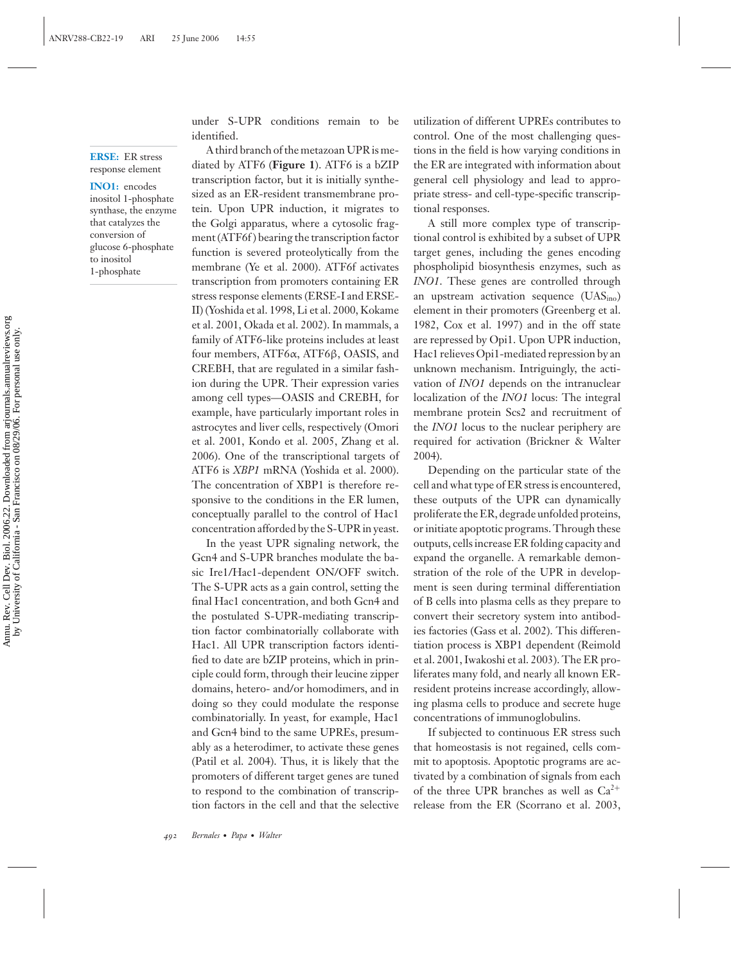**ERSE:** ER stress response element

**INO1:** encodes inositol 1-phosphate synthase, the enzyme that catalyzes the conversion of glucose 6-phosphate to inositol 1-phosphate

under S-UPR conditions remain to be identified.

A third branch of the metazoan UPR is mediated by ATF6 (**Figure 1**). ATF6 is a bZIP transcription factor, but it is initially synthesized as an ER-resident transmembrane protein. Upon UPR induction, it migrates to the Golgi apparatus, where a cytosolic fragment (ATF6f) bearing the transcription factor function is severed proteolytically from the membrane (Ye et al. 2000). ATF6f activates transcription from promoters containing ER stress response elements (ERSE-I and ERSE-II) (Yoshida et al. 1998, Li et al. 2000, Kokame et al. 2001, Okada et al. 2002). In mammals, a family of ATF6-like proteins includes at least four members, ATF6α, ATF6β, OASIS, and CREBH, that are regulated in a similar fashion during the UPR. Their expression varies among cell types—OASIS and CREBH, for example, have particularly important roles in astrocytes and liver cells, respectively (Omori et al. 2001, Kondo et al. 2005, Zhang et al. 2006). One of the transcriptional targets of ATF6 is *XBP1* mRNA (Yoshida et al. 2000). The concentration of XBP1 is therefore responsive to the conditions in the ER lumen, conceptually parallel to the control of Hac1 concentration afforded by the S-UPR in yeast.

In the yeast UPR signaling network, the Gcn4 and S-UPR branches modulate the basic Ire1/Hac1-dependent ON/OFF switch. The S-UPR acts as a gain control, setting the final Hac1 concentration, and both Gcn4 and the postulated S-UPR-mediating transcription factor combinatorially collaborate with Hac1. All UPR transcription factors identified to date are bZIP proteins, which in principle could form, through their leucine zipper domains, hetero- and/or homodimers, and in doing so they could modulate the response combinatorially. In yeast, for example, Hac1 and Gcn4 bind to the same UPREs, presumably as a heterodimer, to activate these genes (Patil et al. 2004). Thus, it is likely that the promoters of different target genes are tuned to respond to the combination of transcription factors in the cell and that the selective utilization of different UPREs contributes to control. One of the most challenging questions in the field is how varying conditions in the ER are integrated with information about general cell physiology and lead to appropriate stress- and cell-type-specific transcriptional responses.

A still more complex type of transcriptional control is exhibited by a subset of UPR target genes, including the genes encoding phospholipid biosynthesis enzymes, such as *INO1*. These genes are controlled through an upstream activation sequence (UAS<sub>ino</sub>) element in their promoters (Greenberg et al. 1982, Cox et al. 1997) and in the off state are repressed by Opi1. Upon UPR induction, Hac1 relieves Opi1-mediated repression by an unknown mechanism. Intriguingly, the activation of *INO1* depends on the intranuclear localization of the *INO1* locus: The integral membrane protein Scs2 and recruitment of the *INO1* locus to the nuclear periphery are required for activation (Brickner & Walter 2004).

Depending on the particular state of the cell and what type of ER stress is encountered, these outputs of the UPR can dynamically proliferate the ER, degrade unfolded proteins, or initiate apoptotic programs. Through these outputs, cells increase ER folding capacity and expand the organelle. A remarkable demonstration of the role of the UPR in development is seen during terminal differentiation of B cells into plasma cells as they prepare to convert their secretory system into antibodies factories (Gass et al. 2002). This differentiation process is XBP1 dependent (Reimold et al. 2001, Iwakoshi et al. 2003). The ER proliferates many fold, and nearly all known ERresident proteins increase accordingly, allowing plasma cells to produce and secrete huge concentrations of immunoglobulins.

If subjected to continuous ER stress such that homeostasis is not regained, cells commit to apoptosis. Apoptotic programs are activated by a combination of signals from each of the three UPR branches as well as  $Ca^{2+}$ release from the ER (Scorrano et al. 2003,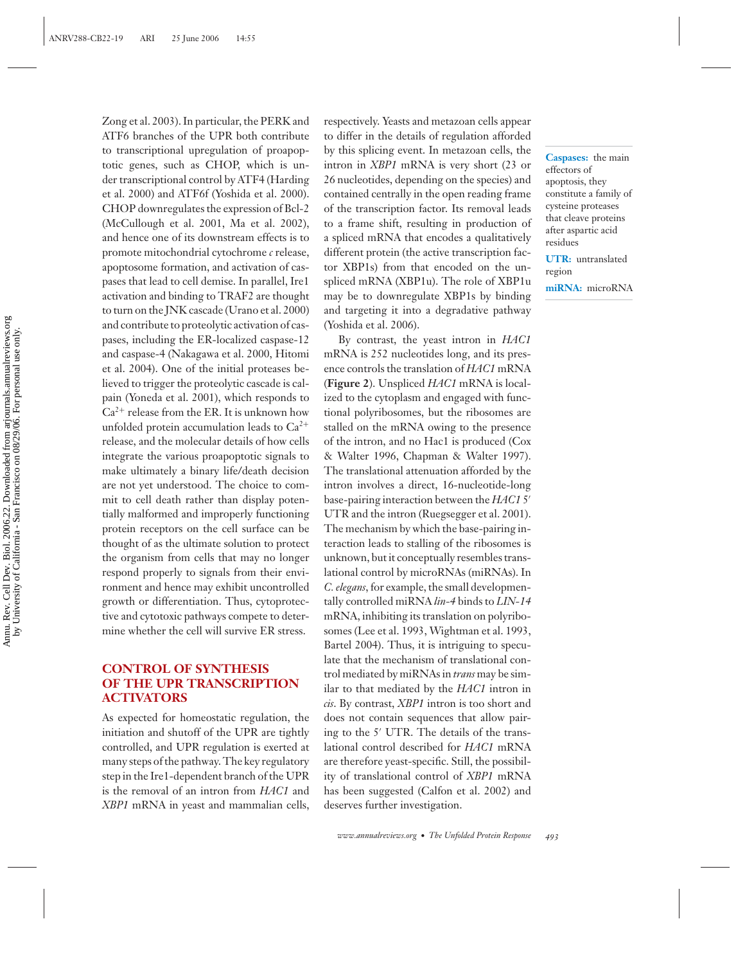Zong et al. 2003). In particular, the PERK and ATF6 branches of the UPR both contribute to transcriptional upregulation of proapoptotic genes, such as CHOP, which is under transcriptional control by ATF4 (Harding et al. 2000) and ATF6f (Yoshida et al. 2000). CHOP downregulates the expression of Bcl-2 (McCullough et al. 2001, Ma et al. 2002), and hence one of its downstream effects is to promote mitochondrial cytochrome *c* release, apoptosome formation, and activation of caspases that lead to cell demise. In parallel, Ire1 activation and binding to TRAF2 are thought to turn on the JNK cascade (Urano et al. 2000) and contribute to proteolytic activation of caspases, including the ER-localized caspase-12 and caspase-4 (Nakagawa et al. 2000, Hitomi et al. 2004). One of the initial proteases believed to trigger the proteolytic cascade is calpain (Yoneda et al. 2001), which responds to  $Ca<sup>2+</sup>$  release from the ER. It is unknown how unfolded protein accumulation leads to  $Ca^{2+}$ release, and the molecular details of how cells integrate the various proapoptotic signals to make ultimately a binary life/death decision are not yet understood. The choice to commit to cell death rather than display potentially malformed and improperly functioning protein receptors on the cell surface can be thought of as the ultimate solution to protect the organism from cells that may no longer respond properly to signals from their environment and hence may exhibit uncontrolled growth or differentiation. Thus, cytoprotective and cytotoxic pathways compete to determine whether the cell will survive ER stress.

# **CONTROL OF SYNTHESIS OF THE UPR TRANSCRIPTION ACTIVATORS**

As expected for homeostatic regulation, the initiation and shutoff of the UPR are tightly controlled, and UPR regulation is exerted at many steps of the pathway. The key regulatory step in the Ire1-dependent branch of the UPR is the removal of an intron from *HAC1* and *XBP1* mRNA in yeast and mammalian cells,

respectively. Yeasts and metazoan cells appear to differ in the details of regulation afforded by this splicing event. In metazoan cells, the intron in *XBP1* mRNA is very short (23 or 26 nucleotides, depending on the species) and contained centrally in the open reading frame of the transcription factor. Its removal leads to a frame shift, resulting in production of a spliced mRNA that encodes a qualitatively different protein (the active transcription factor XBP1s) from that encoded on the unspliced mRNA (XBP1u). The role of XBP1u may be to downregulate XBP1s by binding and targeting it into a degradative pathway (Yoshida et al. 2006).

By contrast, the yeast intron in *HAC1* mRNA is 252 nucleotides long, and its presence controls the translation of *HAC1* mRNA (**Figure 2**). Unspliced *HAC1* mRNA is localized to the cytoplasm and engaged with functional polyribosomes, but the ribosomes are stalled on the mRNA owing to the presence of the intron, and no Hac1 is produced (Cox & Walter 1996, Chapman & Walter 1997). The translational attenuation afforded by the intron involves a direct, 16-nucleotide-long base-pairing interaction between the *HAC1* 5 UTR and the intron (Ruegsegger et al. 2001). The mechanism by which the base-pairing interaction leads to stalling of the ribosomes is unknown, but it conceptually resembles translational control by microRNAs (miRNAs). In *C. elegans*, for example, the small developmentally controlled miRNA *lin-4* binds to *LIN-14* mRNA, inhibiting its translation on polyribosomes (Lee et al. 1993, Wightman et al. 1993, Bartel 2004). Thus, it is intriguing to speculate that the mechanism of translational control mediated by miRNAs in *trans* may be similar to that mediated by the *HAC1* intron in *cis*. By contrast, *XBP1* intron is too short and does not contain sequences that allow pairing to the 5' UTR. The details of the translational control described for *HAC1* mRNA are therefore yeast-specific. Still, the possibility of translational control of *XBP1* mRNA has been suggested (Calfon et al. 2002) and deserves further investigation.

**Caspases:** the main effectors of apoptosis, they constitute a family of cysteine proteases that cleave proteins after aspartic acid residues

**UTR:** untranslated region

**miRNA:** microRNA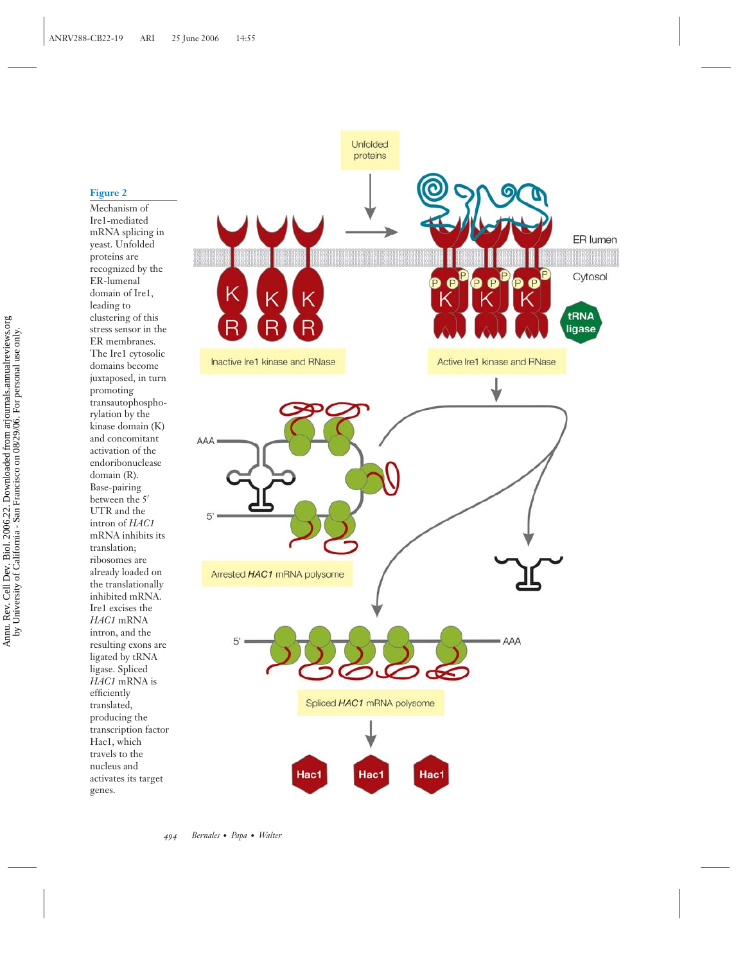### **Figure 2**

Mechanism of Ire1-mediated mRNA splicing in yeast. Unfolded proteins are recognized by the ER-lumenal domain of Ire1, leading to clustering of this stress sensor in the ER membranes. The Ire1 cytosolic domains become juxtaposed, in turn promoting transautophosphorylation by the kinase domain (K) and concomitant activation of the endoribonuclease domain (R). Base-pairing between the 5 UTR and the intron of *HAC1* mRNA inhibits its translation; ribosomes are already loaded on the translationally inhibited mRNA. Ire1 excises the *HAC1* mRNA intron, and the resulting exons are ligated by tRNA ligase. Spliced *HAC1* mRNA is efficiently translated, producing the transcription factor Hac1, which travels to the nucleus and activates its target genes.

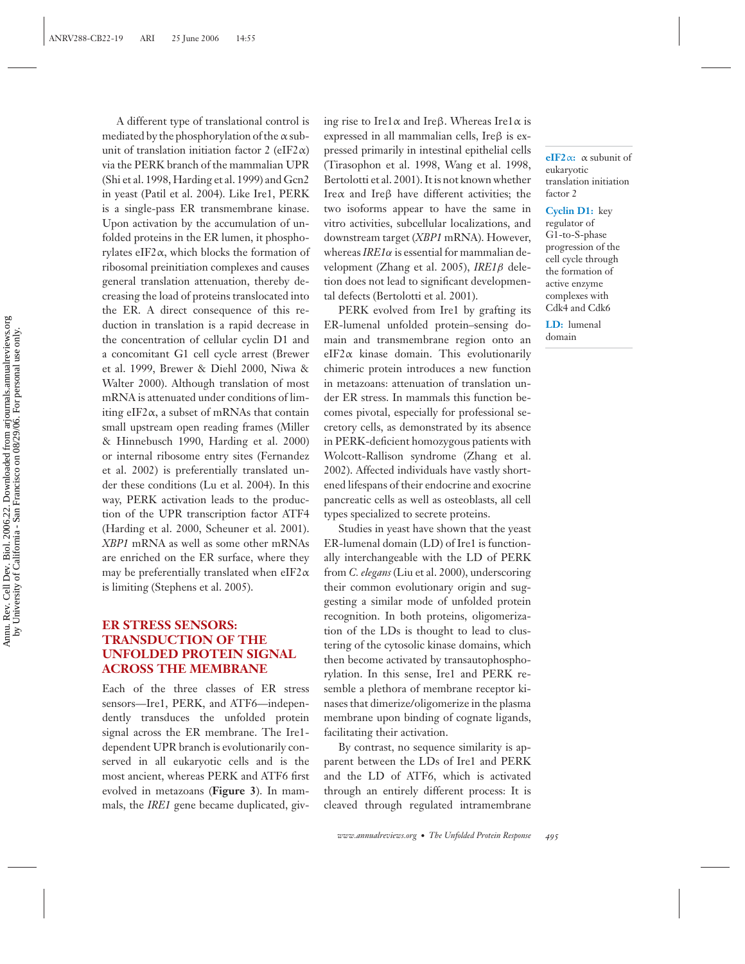A different type of translational control is mediated by the phosphorylation of the  $\alpha$  subunit of translation initiation factor 2 (eIF2 $\alpha$ ) via the PERK branch of the mammalian UPR (Shi et al. 1998, Harding et al. 1999) and Gcn2 in yeast (Patil et al. 2004). Like Ire1, PERK is a single-pass ER transmembrane kinase. Upon activation by the accumulation of unfolded proteins in the ER lumen, it phosphorylates eIF2 $\alpha$ , which blocks the formation of ribosomal preinitiation complexes and causes general translation attenuation, thereby decreasing the load of proteins translocated into the ER. A direct consequence of this reduction in translation is a rapid decrease in the concentration of cellular cyclin D1 and a concomitant G1 cell cycle arrest (Brewer et al. 1999, Brewer & Diehl 2000, Niwa & Walter 2000). Although translation of most mRNA is attenuated under conditions of limiting eIF2 $\alpha$ , a subset of mRNAs that contain small upstream open reading frames (Miller & Hinnebusch 1990, Harding et al. 2000) or internal ribosome entry sites (Fernandez et al. 2002) is preferentially translated under these conditions (Lu et al. 2004). In this way, PERK activation leads to the production of the UPR transcription factor ATF4 (Harding et al. 2000, Scheuner et al. 2001). *XBP1* mRNA as well as some other mRNAs are enriched on the ER surface, where they may be preferentially translated when  $eIF2\alpha$ is limiting (Stephens et al. 2005).

# **ER STRESS SENSORS: TRANSDUCTION OF THE UNFOLDED PROTEIN SIGNAL ACROSS THE MEMBRANE**

Each of the three classes of ER stress sensors—Ire1, PERK, and ATF6—independently transduces the unfolded protein signal across the ER membrane. The Ire1 dependent UPR branch is evolutionarily conserved in all eukaryotic cells and is the most ancient, whereas PERK and ATF6 first evolved in metazoans (**Figure 3**). In mammals, the *IRE1* gene became duplicated, giv-

ing rise to Ire1α and Ireβ. Whereas Ire1α is expressed in all mammalian cells, Ireβ is expressed primarily in intestinal epithelial cells (Tirasophon et al. 1998, Wang et al. 1998, Bertolotti et al. 2001). It is not known whether Ireα and Ireβ have different activities; the two isoforms appear to have the same in vitro activities, subcellular localizations, and downstream target (*XBP1* mRNA). However, whereas*IRE1*α is essential for mammalian development (Zhang et al. 2005), *IRE1*β deletion does not lead to significant developmental defects (Bertolotti et al. 2001).

PERK evolved from Ire1 by grafting its ER-lumenal unfolded protein–sensing domain and transmembrane region onto an eIF2α kinase domain. This evolutionarily chimeric protein introduces a new function in metazoans: attenuation of translation under ER stress. In mammals this function becomes pivotal, especially for professional secretory cells, as demonstrated by its absence in PERK-deficient homozygous patients with Wolcott-Rallison syndrome (Zhang et al. 2002). Affected individuals have vastly shortened lifespans of their endocrine and exocrine pancreatic cells as well as osteoblasts, all cell types specialized to secrete proteins.

Studies in yeast have shown that the yeast ER-lumenal domain (LD) of Ire1 is functionally interchangeable with the LD of PERK from *C. elegans* (Liu et al. 2000), underscoring their common evolutionary origin and suggesting a similar mode of unfolded protein recognition. In both proteins, oligomerization of the LDs is thought to lead to clustering of the cytosolic kinase domains, which then become activated by transautophosphorylation. In this sense, Ire1 and PERK resemble a plethora of membrane receptor kinases that dimerize/oligomerize in the plasma membrane upon binding of cognate ligands, facilitating their activation.

By contrast, no sequence similarity is apparent between the LDs of Ire1 and PERK and the LD of ATF6, which is activated through an entirely different process: It is cleaved through regulated intramembrane **eIF2**α**:** α subunit of eukaryotic translation initiation factor 2

**Cyclin D1:** key regulator of G1-to-S-phase progression of the cell cycle through the formation of active enzyme complexes with Cdk4 and Cdk6

**LD:** lumenal domain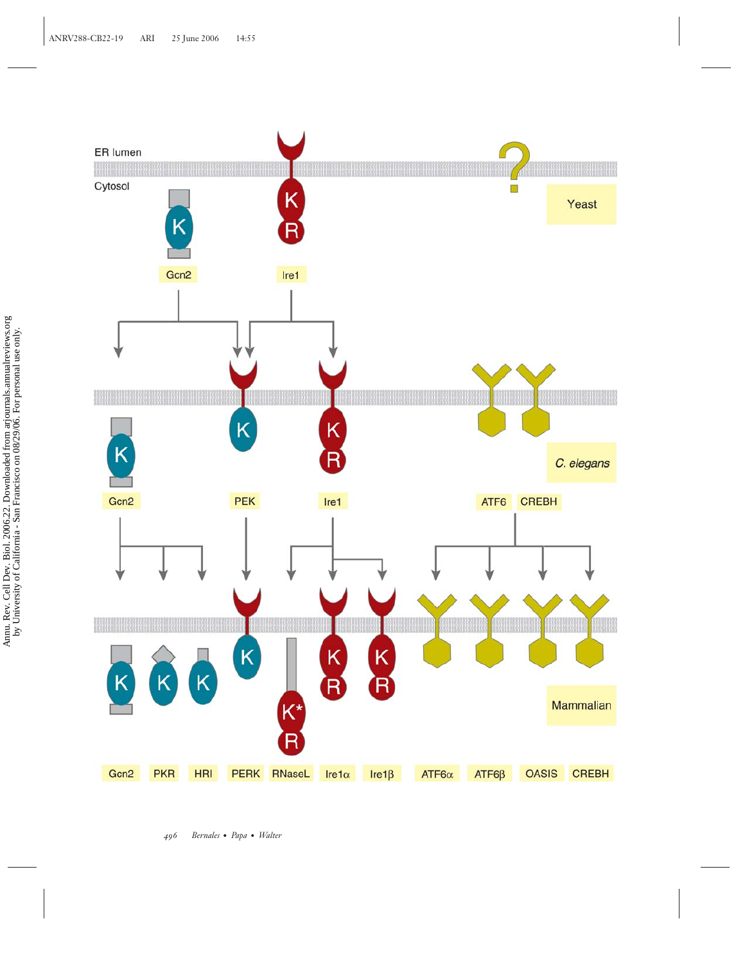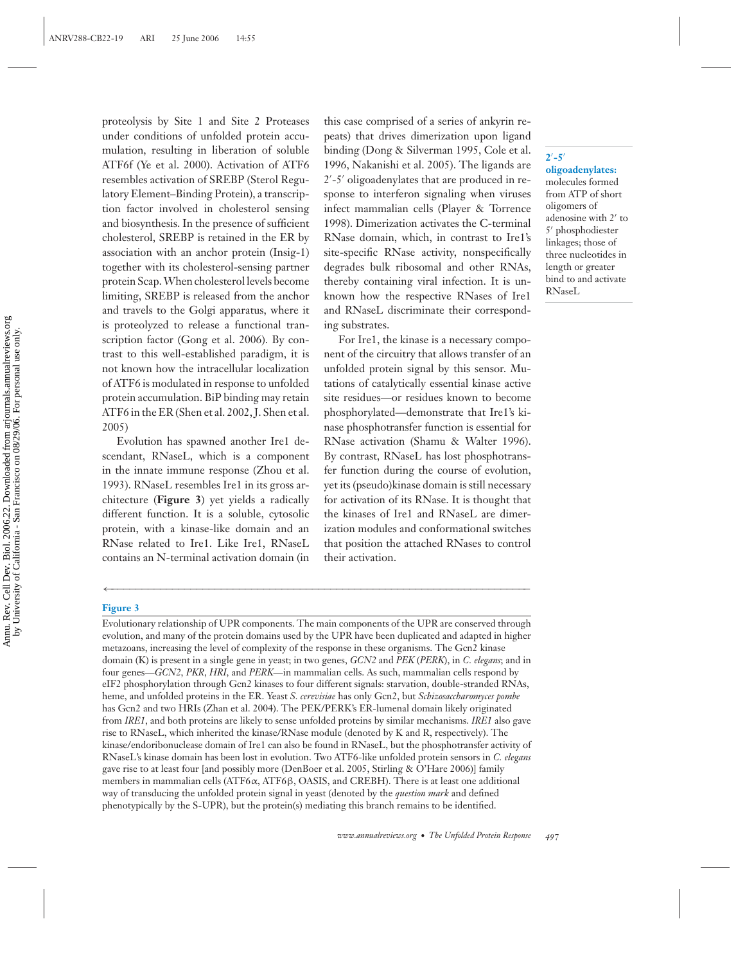proteolysis by Site 1 and Site 2 Proteases under conditions of unfolded protein accumulation, resulting in liberation of soluble ATF6f (Ye et al. 2000). Activation of ATF6 resembles activation of SREBP (Sterol Regulatory Element–Binding Protein), a transcription factor involved in cholesterol sensing and biosynthesis. In the presence of sufficient cholesterol, SREBP is retained in the ER by association with an anchor protein (Insig-1) together with its cholesterol-sensing partner protein Scap. When cholesterol levels become limiting, SREBP is released from the anchor and travels to the Golgi apparatus, where it is proteolyzed to release a functional transcription factor (Gong et al. 2006). By contrast to this well-established paradigm, it is not known how the intracellular localization of ATF6 is modulated in response to unfolded protein accumulation. BiP binding may retain ATF6 in the ER (Shen et al. 2002, J. Shen et al. 2005)

Evolution has spawned another Ire1 descendant, RNaseL, which is a component in the innate immune response (Zhou et al. 1993). RNaseL resembles Ire1 in its gross architecture (**Figure 3**) yet yields a radically different function. It is a soluble, cytosolic protein, with a kinase-like domain and an RNase related to Ire1. Like Ire1, RNaseL contains an N-terminal activation domain (in

this case comprised of a series of ankyrin repeats) that drives dimerization upon ligand binding (Dong & Silverman 1995, Cole et al. 1996, Nakanishi et al. 2005). The ligands are 2 -5 oligoadenylates that are produced in response to interferon signaling when viruses infect mammalian cells (Player & Torrence 1998). Dimerization activates the C-terminal RNase domain, which, in contrast to Ire1's site-specific RNase activity, nonspecifically degrades bulk ribosomal and other RNAs, thereby containing viral infection. It is unknown how the respective RNases of Ire1 and RNaseL discriminate their corresponding substrates.

For Ire1, the kinase is a necessary component of the circuitry that allows transfer of an unfolded protein signal by this sensor. Mutations of catalytically essential kinase active site residues—or residues known to become phosphorylated—demonstrate that Ire1's kinase phosphotransfer function is essential for RNase activation (Shamu & Walter 1996). By contrast, RNaseL has lost phosphotransfer function during the course of evolution, yet its (pseudo)kinase domain is still necessary for activation of its RNase. It is thought that the kinases of Ire1 and RNaseL are dimerization modules and conformational switches that position the attached RNases to control their activation.

# $2^{\prime}$ -5 $^{\prime}$

**oligoadenylates:** molecules formed from ATP of short oligomers of adenosine with 2' to 5' phosphodiester linkages; those of three nucleotides in length or greater bind to and activate RNaseL

### **Figure 3**

Evolutionary relationship of UPR components. The main components of the UPR are conserved through evolution, and many of the protein domains used by the UPR have been duplicated and adapted in higher metazoans, increasing the level of complexity of the response in these organisms. The Gcn2 kinase domain (K) is present in a single gene in yeast; in two genes, *GCN2* and *PEK* (*PERK*), in *C. elegans*; and in four genes—*GCN2*, *PKR*, *HRI*, and *PERK*—in mammalian cells. As such, mammalian cells respond by eIF2 phosphorylation through Gcn2 kinases to four different signals: starvation, double-stranded RNAs, heme, and unfolded proteins in the ER. Yeast *S. cerevisiae* has only Gcn2, but *Schizosaccharomyces pombe* has Gcn2 and two HRIs (Zhan et al. 2004). The PEK/PERK's ER-lumenal domain likely originated from *IRE1*, and both proteins are likely to sense unfolded proteins by similar mechanisms. *IRE1* also gave rise to RNaseL, which inherited the kinase/RNase module (denoted by K and R, respectively). The kinase/endoribonuclease domain of Ire1 can also be found in RNaseL, but the phosphotransfer activity of RNaseL's kinase domain has been lost in evolution. Two ATF6-like unfolded protein sensors in *C. elegans* gave rise to at least four [and possibly more (DenBoer et al. 2005, Stirling & O'Hare 2006)] family members in mammalian cells (ATF6α, ATF6β, OASIS, and CREBH). There is at least one additional way of transducing the unfolded protein signal in yeast (denoted by the *question mark* and defined phenotypically by the S-UPR), but the protein(s) mediating this branch remains to be identified.

←−−−−−−−−−−−−−−−−−−−−−−−−−−−−−−−−−−−−−−−−−−−−−−−−−−−−−−−−−−−−−−−−−−−−−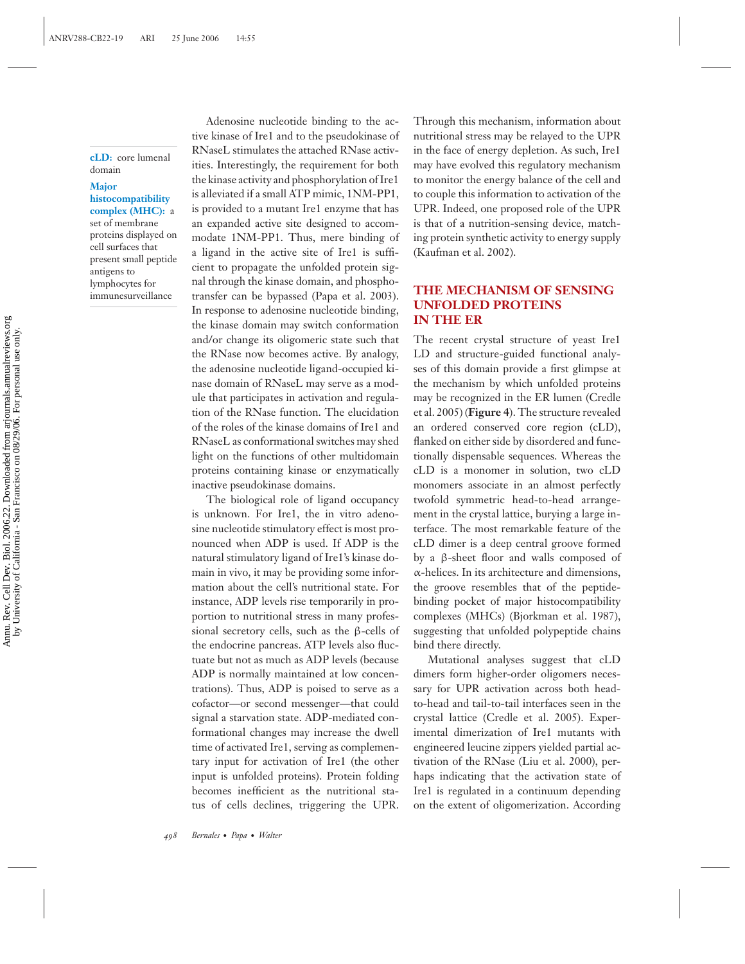**cLD:** core lumenal domain

### **Major histocompatibility complex (MHC):** a

set of membrane proteins displayed on cell surfaces that present small peptide antigens to lymphocytes for immunesurveillance

Adenosine nucleotide binding to the active kinase of Ire1 and to the pseudokinase of RNaseL stimulates the attached RNase activities. Interestingly, the requirement for both the kinase activity and phosphorylation of Ire1 is alleviated if a small ATP mimic, 1NM-PP1, is provided to a mutant Ire1 enzyme that has an expanded active site designed to accommodate 1NM-PP1. Thus, mere binding of a ligand in the active site of Ire1 is sufficient to propagate the unfolded protein signal through the kinase domain, and phosphotransfer can be bypassed (Papa et al. 2003). In response to adenosine nucleotide binding, the kinase domain may switch conformation and/or change its oligomeric state such that the RNase now becomes active. By analogy, the adenosine nucleotide ligand-occupied kinase domain of RNaseL may serve as a module that participates in activation and regulation of the RNase function. The elucidation of the roles of the kinase domains of Ire1 and RNaseL as conformational switches may shed light on the functions of other multidomain proteins containing kinase or enzymatically inactive pseudokinase domains.

The biological role of ligand occupancy is unknown. For Ire1, the in vitro adenosine nucleotide stimulatory effect is most pronounced when ADP is used. If ADP is the natural stimulatory ligand of Ire1's kinase domain in vivo, it may be providing some information about the cell's nutritional state. For instance, ADP levels rise temporarily in proportion to nutritional stress in many professional secretory cells, such as the β-cells of the endocrine pancreas. ATP levels also fluctuate but not as much as ADP levels (because ADP is normally maintained at low concentrations). Thus, ADP is poised to serve as a cofactor—or second messenger—that could signal a starvation state. ADP-mediated conformational changes may increase the dwell time of activated Ire1, serving as complementary input for activation of Ire1 (the other input is unfolded proteins). Protein folding becomes inefficient as the nutritional status of cells declines, triggering the UPR.

Through this mechanism, information about nutritional stress may be relayed to the UPR in the face of energy depletion. As such, Ire1 may have evolved this regulatory mechanism to monitor the energy balance of the cell and to couple this information to activation of the UPR. Indeed, one proposed role of the UPR is that of a nutrition-sensing device, matching protein synthetic activity to energy supply (Kaufman et al. 2002).

# **THE MECHANISM OF SENSING UNFOLDED PROTEINS IN THE ER**

The recent crystal structure of yeast Ire1 LD and structure-guided functional analyses of this domain provide a first glimpse at the mechanism by which unfolded proteins may be recognized in the ER lumen (Credle et al. 2005) (**Figure 4**). The structure revealed an ordered conserved core region (cLD), flanked on either side by disordered and functionally dispensable sequences. Whereas the cLD is a monomer in solution, two cLD monomers associate in an almost perfectly twofold symmetric head-to-head arrangement in the crystal lattice, burying a large interface. The most remarkable feature of the cLD dimer is a deep central groove formed by a β-sheet floor and walls composed of α-helices. In its architecture and dimensions, the groove resembles that of the peptidebinding pocket of major histocompatibility complexes (MHCs) (Bjorkman et al. 1987), suggesting that unfolded polypeptide chains bind there directly.

Mutational analyses suggest that cLD dimers form higher-order oligomers necessary for UPR activation across both headto-head and tail-to-tail interfaces seen in the crystal lattice (Credle et al. 2005). Experimental dimerization of Ire1 mutants with engineered leucine zippers yielded partial activation of the RNase (Liu et al. 2000), perhaps indicating that the activation state of Ire1 is regulated in a continuum depending on the extent of oligomerization. According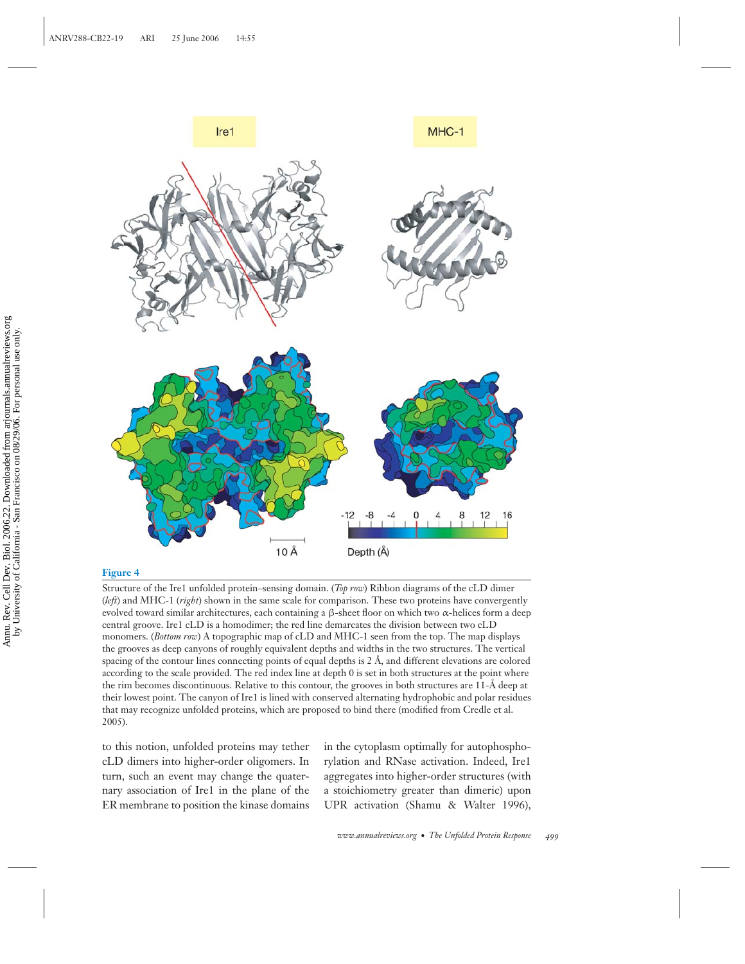

### **Figure 4**

Structure of the Ire1 unfolded protein–sensing domain. (*Top row*) Ribbon diagrams of the cLD dimer (*left*) and MHC-1 (*right*) shown in the same scale for comparison. These two proteins have convergently evolved toward similar architectures, each containing a β-sheet floor on which two α-helices form a deep central groove. Ire1 cLD is a homodimer; the red line demarcates the division between two cLD monomers. (*Bottom row*) A topographic map of cLD and MHC-1 seen from the top. The map displays the grooves as deep canyons of roughly equivalent depths and widths in the two structures. The vertical spacing of the contour lines connecting points of equal depths is  $2 \text{ Å}$ , and different elevations are colored according to the scale provided. The red index line at depth 0 is set in both structures at the point where the rim becomes discontinuous. Relative to this contour, the grooves in both structures are 11-Å deep at their lowest point. The canyon of Ire1 is lined with conserved alternating hydrophobic and polar residues that may recognize unfolded proteins, which are proposed to bind there (modified from Credle et al. 2005).

to this notion, unfolded proteins may tether cLD dimers into higher-order oligomers. In turn, such an event may change the quaternary association of Ire1 in the plane of the ER membrane to position the kinase domains in the cytoplasm optimally for autophosphorylation and RNase activation. Indeed, Ire1 aggregates into higher-order structures (with a stoichiometry greater than dimeric) upon UPR activation (Shamu & Walter 1996),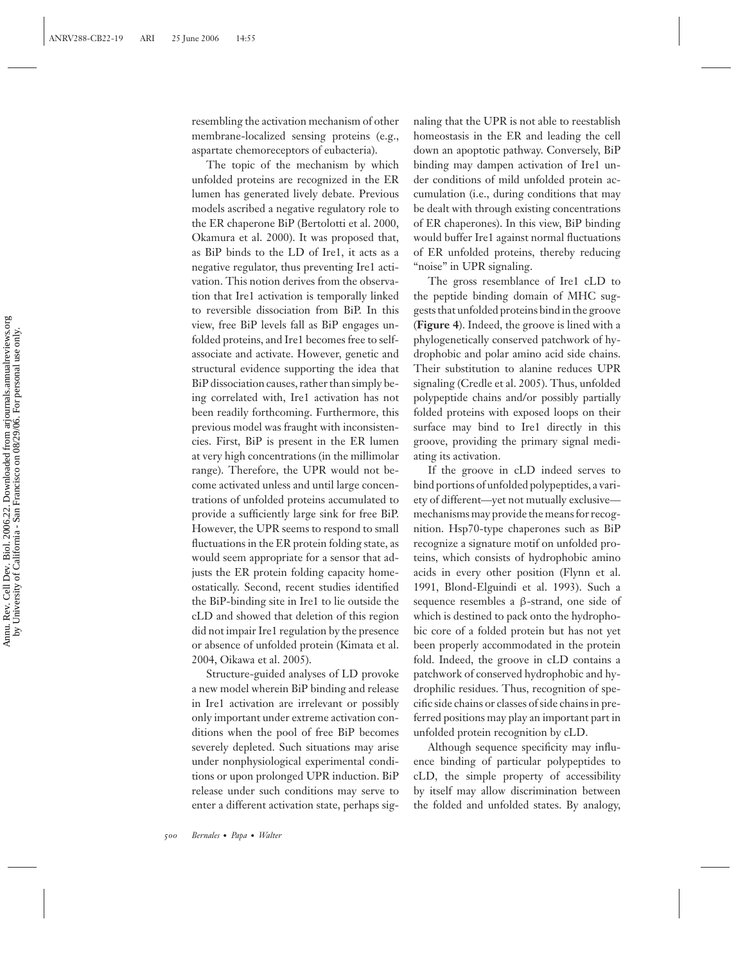resembling the activation mechanism of other membrane-localized sensing proteins (e.g., aspartate chemoreceptors of eubacteria).

The topic of the mechanism by which unfolded proteins are recognized in the ER lumen has generated lively debate. Previous models ascribed a negative regulatory role to the ER chaperone BiP (Bertolotti et al. 2000, Okamura et al. 2000). It was proposed that, as BiP binds to the LD of Ire1, it acts as a negative regulator, thus preventing Ire1 activation. This notion derives from the observation that Ire1 activation is temporally linked to reversible dissociation from BiP. In this view, free BiP levels fall as BiP engages unfolded proteins, and Ire1 becomes free to selfassociate and activate. However, genetic and structural evidence supporting the idea that BiP dissociation causes, rather than simply being correlated with, Ire1 activation has not been readily forthcoming. Furthermore, this previous model was fraught with inconsistencies. First, BiP is present in the ER lumen at very high concentrations (in the millimolar range). Therefore, the UPR would not become activated unless and until large concentrations of unfolded proteins accumulated to provide a sufficiently large sink for free BiP. However, the UPR seems to respond to small fluctuations in the ER protein folding state, as would seem appropriate for a sensor that adjusts the ER protein folding capacity homeostatically. Second, recent studies identified the BiP-binding site in Ire1 to lie outside the cLD and showed that deletion of this region did not impair Ire1 regulation by the presence or absence of unfolded protein (Kimata et al. 2004, Oikawa et al. 2005).

Structure-guided analyses of LD provoke a new model wherein BiP binding and release in Ire1 activation are irrelevant or possibly only important under extreme activation conditions when the pool of free BiP becomes severely depleted. Such situations may arise under nonphysiological experimental conditions or upon prolonged UPR induction. BiP release under such conditions may serve to enter a different activation state, perhaps signaling that the UPR is not able to reestablish homeostasis in the ER and leading the cell down an apoptotic pathway. Conversely, BiP binding may dampen activation of Ire1 under conditions of mild unfolded protein accumulation (i.e., during conditions that may be dealt with through existing concentrations of ER chaperones). In this view, BiP binding would buffer Ire1 against normal fluctuations of ER unfolded proteins, thereby reducing "noise" in UPR signaling.

The gross resemblance of Ire1 cLD to the peptide binding domain of MHC suggests that unfolded proteins bind in the groove (**Figure 4**). Indeed, the groove is lined with a phylogenetically conserved patchwork of hydrophobic and polar amino acid side chains. Their substitution to alanine reduces UPR signaling (Credle et al. 2005). Thus, unfolded polypeptide chains and/or possibly partially folded proteins with exposed loops on their surface may bind to Ire1 directly in this groove, providing the primary signal mediating its activation.

If the groove in cLD indeed serves to bind portions of unfolded polypeptides, a variety of different—yet not mutually exclusive mechanisms may provide the means for recognition. Hsp70-type chaperones such as BiP recognize a signature motif on unfolded proteins, which consists of hydrophobic amino acids in every other position (Flynn et al. 1991, Blond-Elguindi et al. 1993). Such a sequence resembles a β-strand, one side of which is destined to pack onto the hydrophobic core of a folded protein but has not yet been properly accommodated in the protein fold. Indeed, the groove in cLD contains a patchwork of conserved hydrophobic and hydrophilic residues. Thus, recognition of specific side chains or classes of side chains in preferred positions may play an important part in unfolded protein recognition by cLD.

Although sequence specificity may influence binding of particular polypeptides to cLD, the simple property of accessibility by itself may allow discrimination between the folded and unfolded states. By analogy,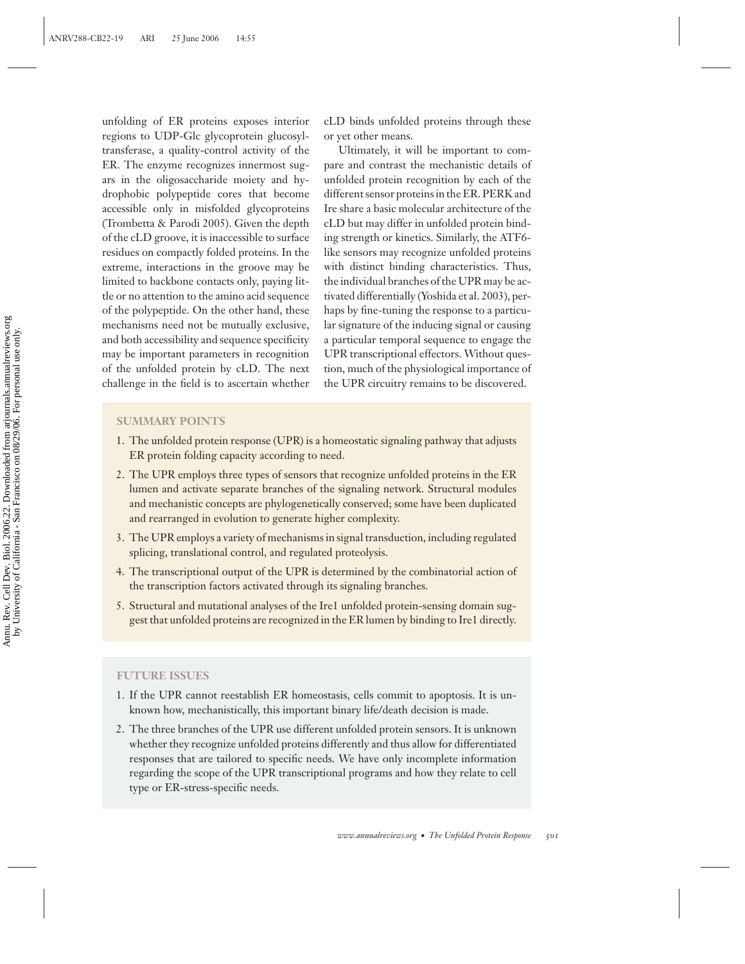unfolding of ER proteins exposes interior regions to UDP-Glc glycoprotein glucosyltransferase, a quality-control activity of the ER. The enzyme recognizes innermost sugars in the oligosaccharide moiety and hydrophobic polypeptide cores that become accessible only in misfolded glycoproteins (Trombetta & Parodi 2005). Given the depth of the cLD groove, it is inaccessible to surface residues on compactly folded proteins. In the extreme, interactions in the groove may be limited to backbone contacts only, paying little or no attention to the amino acid sequence of the polypeptide. On the other hand, these mechanisms need not be mutually exclusive, and both accessibility and sequence specificity may be important parameters in recognition of the unfolded protein by cLD. The next challenge in the field is to ascertain whether

cLD binds unfolded proteins through these or yet other means.

Ultimately, it will be important to compare and contrast the mechanistic details of unfolded protein recognition by each of the different sensor proteins in the ER. PERK and Ire share a basic molecular architecture of the cLD but may differ in unfolded protein binding strength or kinetics. Similarly, the ATF6 like sensors may recognize unfolded proteins with distinct binding characteristics. Thus, the individual branches of the UPR may be activated differentially (Yoshida et al. 2003), perhaps by fine-tuning the response to a particular signature of the inducing signal or causing a particular temporal sequence to engage the UPR transcriptional effectors. Without question, much of the physiological importance of the UPR circuitry remains to be discovered.

### **SUMMARY POINTS**

- 1. The unfolded protein response (UPR) is a homeostatic signaling pathway that adjusts ER protein folding capacity according to need.
- 2. The UPR employs three types of sensors that recognize unfolded proteins in the ER lumen and activate separate branches of the signaling network. Structural modules and mechanistic concepts are phylogenetically conserved; some have been duplicated and rearranged in evolution to generate higher complexity.
- 3. The UPR employs a variety of mechanisms in signal transduction, including regulated splicing, translational control, and regulated proteolysis.
- 4. The transcriptional output of the UPR is determined by the combinatorial action of the transcription factors activated through its signaling branches.
- 5. Structural and mutational analyses of the Ire1 unfolded protein-sensing domain suggest that unfolded proteins are recognized in the ER lumen by binding to Ire1 directly.

### **FUTURE ISSUES**

- 1. If the UPR cannot reestablish ER homeostasis, cells commit to apoptosis. It is unknown how, mechanistically, this important binary life/death decision is made.
- 2. The three branches of the UPR use different unfolded protein sensors. It is unknown whether they recognize unfolded proteins differently and thus allow for differentiated responses that are tailored to specific needs. We have only incomplete information regarding the scope of the UPR transcriptional programs and how they relate to cell type or ER-stress-specific needs.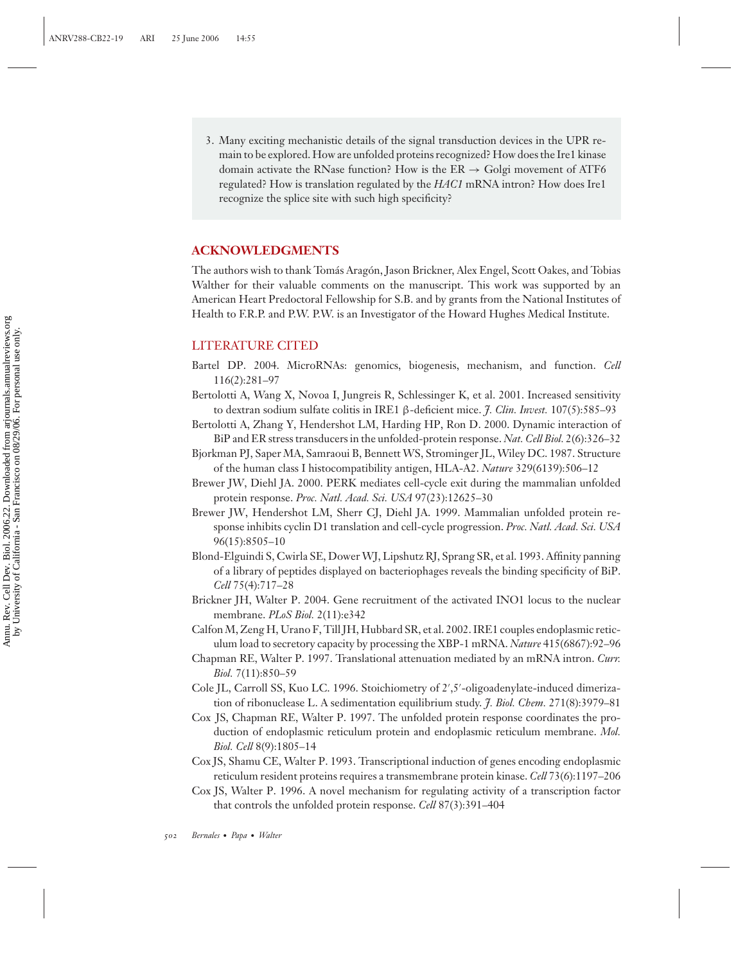3. Many exciting mechanistic details of the signal transduction devices in the UPR remain to be explored. How are unfolded proteins recognized? How does the Ire1 kinase domain activate the RNase function? How is the  $ER \rightarrow$  Golgi movement of ATF6 regulated? How is translation regulated by the *HAC1* mRNA intron? How does Ire1 recognize the splice site with such high specificity?

### **ACKNOWLEDGMENTS**

The authors wish to thank Tomás Aragón, Jason Brickner, Alex Engel, Scott Oakes, and Tobias Walther for their valuable comments on the manuscript. This work was supported by an American Heart Predoctoral Fellowship for S.B. and by grants from the National Institutes of Health to F.R.P. and P.W. P.W. is an Investigator of the Howard Hughes Medical Institute.

### LITERATURE CITED

- Bartel DP. 2004. MicroRNAs: genomics, biogenesis, mechanism, and function. *Cell* 116(2):281–97
- Bertolotti A, Wang X, Novoa I, Jungreis R, Schlessinger K, et al. 2001. Increased sensitivity to dextran sodium sulfate colitis in IRE1 β-deficient mice. *J. Clin. Invest.* 107(5):585–93
- Bertolotti A, Zhang Y, Hendershot LM, Harding HP, Ron D. 2000. Dynamic interaction of BiP and ER stress transducers in the unfolded-protein response. *Nat. Cell Biol.* 2(6):326–32
- Bjorkman PJ, Saper MA, Samraoui B, Bennett WS, Strominger JL, Wiley DC. 1987. Structure of the human class I histocompatibility antigen, HLA-A2. *Nature* 329(6139):506–12
- Brewer JW, Diehl JA. 2000. PERK mediates cell-cycle exit during the mammalian unfolded protein response. *Proc. Natl. Acad. Sci. USA* 97(23):12625–30
- Brewer JW, Hendershot LM, Sherr CJ, Diehl JA. 1999. Mammalian unfolded protein response inhibits cyclin D1 translation and cell-cycle progression. *Proc. Natl. Acad. Sci. USA* 96(15):8505–10
- Blond-Elguindi S, Cwirla SE, Dower WJ, Lipshutz RJ, Sprang SR, et al. 1993. Affinity panning of a library of peptides displayed on bacteriophages reveals the binding specificity of BiP. *Cell* 75(4):717–28
- Brickner JH, Walter P. 2004. Gene recruitment of the activated INO1 locus to the nuclear membrane. *PLoS Biol.* 2(11):e342
- Calfon M, Zeng H, Urano F, Till JH, Hubbard SR, et al. 2002. IRE1 couples endoplasmic reticulum load to secretory capacity by processing the XBP-1 mRNA. *Nature* 415(6867):92–96
- Chapman RE, Walter P. 1997. Translational attenuation mediated by an mRNA intron. *Curr. Biol.* 7(11):850–59
- Cole JL, Carroll SS, Kuo LC. 1996. Stoichiometry of 2',5'-oligoadenylate-induced dimerization of ribonuclease L. A sedimentation equilibrium study. *J. Biol. Chem.* 271(8):3979–81
- Cox JS, Chapman RE, Walter P. 1997. The unfolded protein response coordinates the production of endoplasmic reticulum protein and endoplasmic reticulum membrane. *Mol. Biol. Cell* 8(9):1805–14
- Cox JS, Shamu CE, Walter P. 1993. Transcriptional induction of genes encoding endoplasmic reticulum resident proteins requires a transmembrane protein kinase. *Cell* 73(6):1197–206
- Cox JS, Walter P. 1996. A novel mechanism for regulating activity of a transcription factor that controls the unfolded protein response. *Cell* 87(3):391–404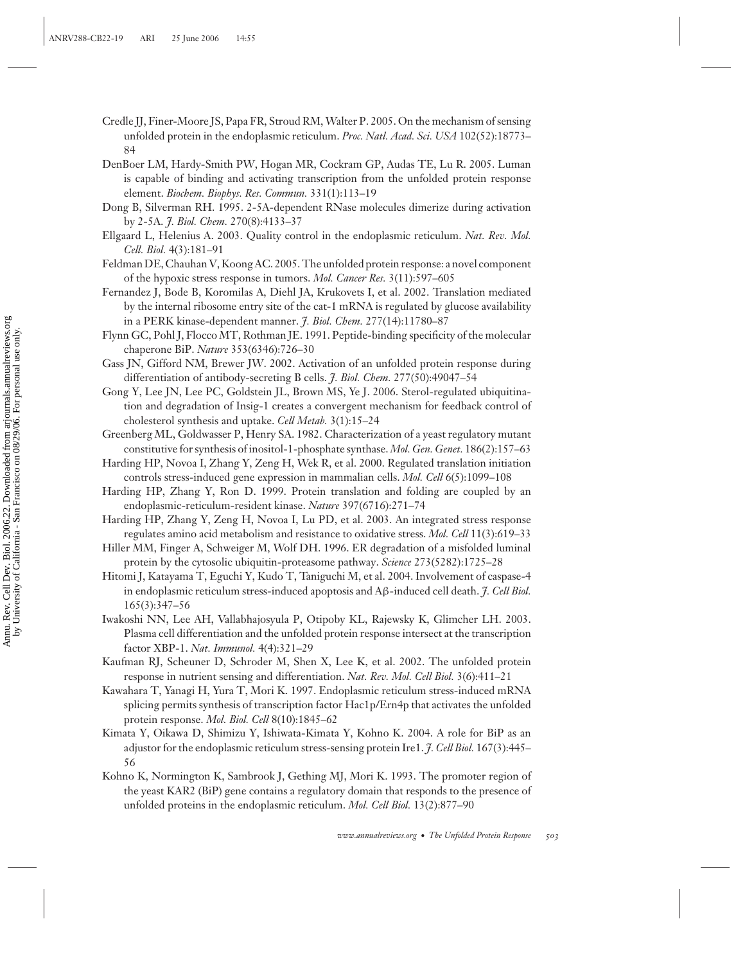- Credle JJ, Finer-Moore JS, Papa FR, Stroud RM, Walter P. 2005. On the mechanism of sensing unfolded protein in the endoplasmic reticulum. *Proc. Natl. Acad. Sci. USA* 102(52):18773– 84
- DenBoer LM, Hardy-Smith PW, Hogan MR, Cockram GP, Audas TE, Lu R. 2005. Luman is capable of binding and activating transcription from the unfolded protein response element. *Biochem. Biophys. Res. Commun.* 331(1):113–19
- Dong B, Silverman RH. 1995. 2-5A-dependent RNase molecules dimerize during activation by 2-5A. *J. Biol. Chem.* 270(8):4133–37
- Ellgaard L, Helenius A. 2003. Quality control in the endoplasmic reticulum. *Nat. Rev. Mol. Cell. Biol.* 4(3):181–91
- Feldman DE, Chauhan V, Koong AC. 2005. The unfolded protein response: a novel component of the hypoxic stress response in tumors. *Mol. Cancer Res.* 3(11):597–605
- Fernandez J, Bode B, Koromilas A, Diehl JA, Krukovets I, et al. 2002. Translation mediated by the internal ribosome entry site of the cat-1 mRNA is regulated by glucose availability in a PERK kinase-dependent manner. *J. Biol. Chem.* 277(14):11780–87
- Flynn GC, Pohl J, Flocco MT, Rothman JE. 1991. Peptide-binding specificity of the molecular chaperone BiP. *Nature* 353(6346):726–30
- Gass JN, Gifford NM, Brewer JW. 2002. Activation of an unfolded protein response during differentiation of antibody-secreting B cells. *J. Biol. Chem.* 277(50):49047–54
- Gong Y, Lee JN, Lee PC, Goldstein JL, Brown MS, Ye J. 2006. Sterol-regulated ubiquitination and degradation of Insig-1 creates a convergent mechanism for feedback control of cholesterol synthesis and uptake. *Cell Metab.* 3(1):15–24
- Greenberg ML, Goldwasser P, Henry SA. 1982. Characterization of a yeast regulatory mutant constitutive for synthesis of inositol-1-phosphate synthase. *Mol. Gen. Genet.* 186(2):157–63
- Harding HP, Novoa I, Zhang Y, Zeng H, Wek R, et al. 2000. Regulated translation initiation controls stress-induced gene expression in mammalian cells. *Mol. Cell* 6(5):1099–108
- Harding HP, Zhang Y, Ron D. 1999. Protein translation and folding are coupled by an endoplasmic-reticulum-resident kinase. *Nature* 397(6716):271–74
- Harding HP, Zhang Y, Zeng H, Novoa I, Lu PD, et al. 2003. An integrated stress response regulates amino acid metabolism and resistance to oxidative stress. *Mol. Cell* 11(3):619–33
- Hiller MM, Finger A, Schweiger M, Wolf DH. 1996. ER degradation of a misfolded luminal protein by the cytosolic ubiquitin-proteasome pathway. *Science* 273(5282):1725–28
- Hitomi J, Katayama T, Eguchi Y, Kudo T, Taniguchi M, et al. 2004. Involvement of caspase-4 in endoplasmic reticulum stress-induced apoptosis and Aβ-induced cell death. *J. Cell Biol.* 165(3):347–56
- Iwakoshi NN, Lee AH, Vallabhajosyula P, Otipoby KL, Rajewsky K, Glimcher LH. 2003. Plasma cell differentiation and the unfolded protein response intersect at the transcription factor XBP-1. *Nat. Immunol.* 4(4):321–29
- Kaufman RJ, Scheuner D, Schroder M, Shen X, Lee K, et al. 2002. The unfolded protein response in nutrient sensing and differentiation. *Nat. Rev. Mol. Cell Biol.* 3(6):411–21
- Kawahara T, Yanagi H, Yura T, Mori K. 1997. Endoplasmic reticulum stress-induced mRNA splicing permits synthesis of transcription factor Hac1p/Ern4p that activates the unfolded protein response. *Mol. Biol. Cell* 8(10):1845–62
- Kimata Y, Oikawa D, Shimizu Y, Ishiwata-Kimata Y, Kohno K. 2004. A role for BiP as an adjustor for the endoplasmic reticulum stress-sensing protein Ire1. *J. Cell Biol.* 167(3):445– 56
- Kohno K, Normington K, Sambrook J, Gething MJ, Mori K. 1993. The promoter region of the yeast KAR2 (BiP) gene contains a regulatory domain that responds to the presence of unfolded proteins in the endoplasmic reticulum. *Mol. Cell Biol.* 13(2):877–90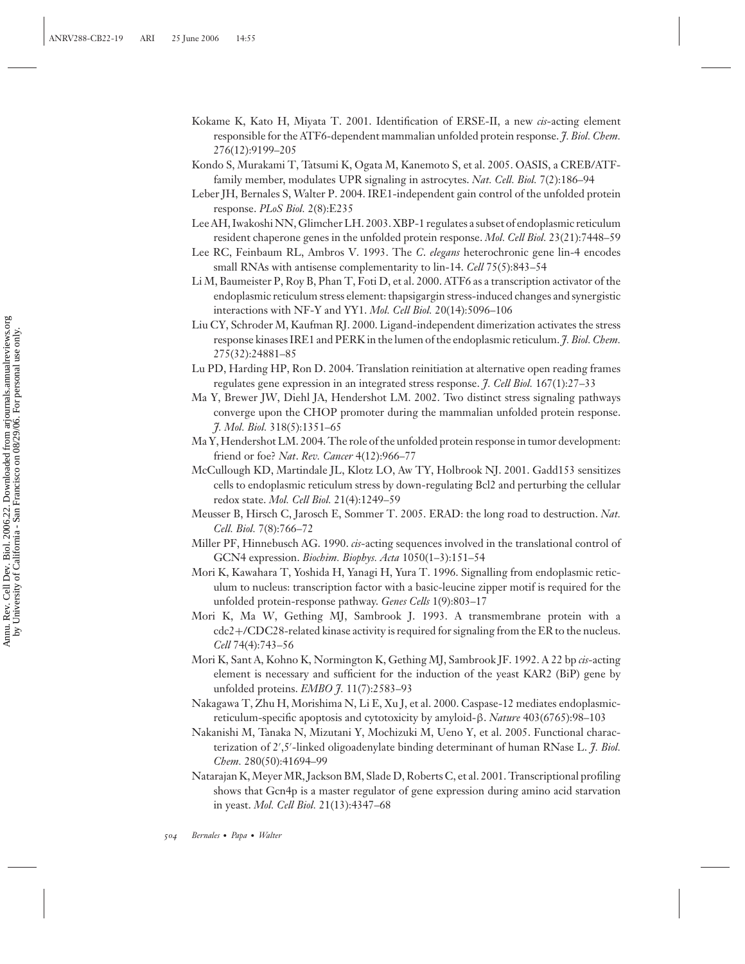- Kokame K, Kato H, Miyata T. 2001. Identification of ERSE-II, a new *cis*-acting element responsible for the ATF6-dependent mammalian unfolded protein response. *J. Biol. Chem.* 276(12):9199–205
- Kondo S, Murakami T, Tatsumi K, Ogata M, Kanemoto S, et al. 2005. OASIS, a CREB/ATFfamily member, modulates UPR signaling in astrocytes. *Nat. Cell. Biol.* 7(2):186–94
- Leber JH, Bernales S, Walter P. 2004. IRE1-independent gain control of the unfolded protein response. *PLoS Biol.* 2(8):E235
- Lee AH, Iwakoshi NN, Glimcher LH. 2003. XBP-1 regulates a subset of endoplasmic reticulum resident chaperone genes in the unfolded protein response. *Mol. Cell Biol.* 23(21):7448–59
- Lee RC, Feinbaum RL, Ambros V. 1993. The *C*. *elegans* heterochronic gene lin-4 encodes small RNAs with antisense complementarity to lin-14. *Cell* 75(5):843–54
- Li M, Baumeister P, Roy B, Phan T, Foti D, et al. 2000. ATF6 as a transcription activator of the endoplasmic reticulum stress element: thapsigargin stress-induced changes and synergistic interactions with NF-Y and YY1. *Mol. Cell Biol.* 20(14):5096–106
- Liu CY, Schroder M, Kaufman RJ. 2000. Ligand-independent dimerization activates the stress response kinases IRE1 and PERK in the lumen of the endoplasmic reticulum. *J. Biol. Chem.* 275(32):24881–85
- Lu PD, Harding HP, Ron D. 2004. Translation reinitiation at alternative open reading frames regulates gene expression in an integrated stress response. *J. Cell Biol.* 167(1):27–33
- Ma Y, Brewer JW, Diehl JA, Hendershot LM. 2002. Two distinct stress signaling pathways converge upon the CHOP promoter during the mammalian unfolded protein response. *J. Mol. Biol.* 318(5):1351–65
- Ma Y, Hendershot LM. 2004. The role of the unfolded protein response in tumor development: friend or foe? *Nat*. *Rev. Cancer* 4(12):966–77
- McCullough KD, Martindale JL, Klotz LO, Aw TY, Holbrook NJ. 2001. Gadd153 sensitizes cells to endoplasmic reticulum stress by down-regulating Bcl2 and perturbing the cellular redox state. *Mol. Cell Biol.* 21(4):1249–59
- Meusser B, Hirsch C, Jarosch E, Sommer T. 2005. ERAD: the long road to destruction. *Nat. Cell. Biol.* 7(8):766–72
- Miller PF, Hinnebusch AG. 1990. *cis*-acting sequences involved in the translational control of GCN4 expression. *Biochim. Biophys. Acta* 1050(1–3):151–54
- Mori K, Kawahara T, Yoshida H, Yanagi H, Yura T. 1996. Signalling from endoplasmic reticulum to nucleus: transcription factor with a basic-leucine zipper motif is required for the unfolded protein-response pathway. *Genes Cells* 1(9):803–17
- Mori K, Ma W, Gething MJ, Sambrook J. 1993. A transmembrane protein with a cdc2+/CDC28-related kinase activity is required for signaling from the ER to the nucleus. *Cell* 74(4):743–56
- Mori K, Sant A, Kohno K, Normington K, Gething MJ, Sambrook JF. 1992. A 22 bp *cis*-acting element is necessary and sufficient for the induction of the yeast KAR2 (BiP) gene by unfolded proteins. *EMBO J.* 11(7):2583–93
- Nakagawa T, Zhu H, Morishima N, Li E, Xu J, et al. 2000. Caspase-12 mediates endoplasmicreticulum-specific apoptosis and cytotoxicity by amyloid-β. *Nature* 403(6765):98–103
- Nakanishi M, Tanaka N, Mizutani Y, Mochizuki M, Ueno Y, et al. 2005. Functional characterization of 2 ,5 -linked oligoadenylate binding determinant of human RNase L. *J. Biol. Chem.* 280(50):41694–99
- Natarajan K, Meyer MR, Jackson BM, Slade D, Roberts C, et al. 2001. Transcriptional profiling shows that Gcn4p is a master regulator of gene expression during amino acid starvation in yeast. *Mol. Cell Biol.* 21(13):4347–68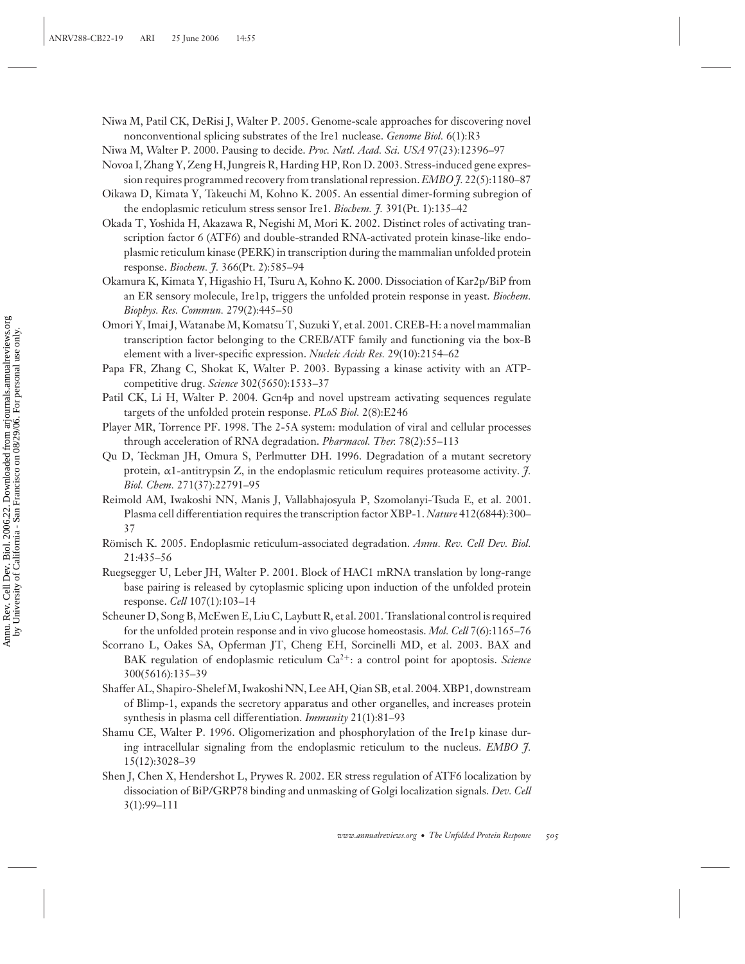- Niwa M, Patil CK, DeRisi J, Walter P. 2005. Genome-scale approaches for discovering novel nonconventional splicing substrates of the Ire1 nuclease. *Genome Biol.* 6(1):R3
- Niwa M, Walter P. 2000. Pausing to decide. *Proc. Natl. Acad. Sci. USA* 97(23):12396–97 Novoa I, Zhang Y, Zeng H, Jungreis R, Harding HP, Ron D. 2003. Stress-induced gene expres
	- sion requires programmed recovery from translational repression.*EMBO J.* 22(5):1180–87
- Oikawa D, Kimata Y, Takeuchi M, Kohno K. 2005. An essential dimer-forming subregion of the endoplasmic reticulum stress sensor Ire1. *Biochem. J.* 391(Pt. 1):135–42
- Okada T, Yoshida H, Akazawa R, Negishi M, Mori K. 2002. Distinct roles of activating transcription factor 6 (ATF6) and double-stranded RNA-activated protein kinase-like endoplasmic reticulum kinase (PERK) in transcription during the mammalian unfolded protein response. *Biochem. J.* 366(Pt. 2):585–94
- Okamura K, Kimata Y, Higashio H, Tsuru A, Kohno K. 2000. Dissociation of Kar2p/BiP from an ER sensory molecule, Ire1p, triggers the unfolded protein response in yeast. *Biochem. Biophys. Res. Commun.* 279(2):445–50
- Omori Y, Imai J, Watanabe M, Komatsu T, Suzuki Y, et al. 2001. CREB-H: a novel mammalian transcription factor belonging to the CREB/ATF family and functioning via the box-B element with a liver-specific expression. *Nucleic Acids Res.* 29(10):2154–62
- Papa FR, Zhang C, Shokat K, Walter P. 2003. Bypassing a kinase activity with an ATPcompetitive drug. *Science* 302(5650):1533–37
- Patil CK, Li H, Walter P. 2004. Gcn4p and novel upstream activating sequences regulate targets of the unfolded protein response. *PLoS Biol.* 2(8):E246
- Player MR, Torrence PF. 1998. The 2-5A system: modulation of viral and cellular processes through acceleration of RNA degradation. *Pharmacol. Ther.* 78(2):55–113
- Qu D, Teckman JH, Omura S, Perlmutter DH. 1996. Degradation of a mutant secretory protein, α1-antitrypsin Z, in the endoplasmic reticulum requires proteasome activity. *J. Biol. Chem.* 271(37):22791–95
- Reimold AM, Iwakoshi NN, Manis J, Vallabhajosyula P, Szomolanyi-Tsuda E, et al. 2001. Plasma cell differentiation requires the transcription factor XBP-1. *Nature* 412(6844):300– 37
- Römisch K. 2005. Endoplasmic reticulum-associated degradation. Annu. Rev. Cell Dev. Biol. 21:435–56
- Ruegsegger U, Leber JH, Walter P. 2001. Block of HAC1 mRNA translation by long-range base pairing is released by cytoplasmic splicing upon induction of the unfolded protein response. *Cell* 107(1):103–14
- Scheuner D, Song B, McEwen E, Liu C, Laybutt R, et al. 2001. Translational control is required for the unfolded protein response and in vivo glucose homeostasis. *Mol. Cell* 7(6):1165–76
- Scorrano L, Oakes SA, Opferman JT, Cheng EH, Sorcinelli MD, et al. 2003. BAX and BAK regulation of endoplasmic reticulum Ca<sup>2</sup>+: a control point for apoptosis. *Science* 300(5616):135–39
- Shaffer AL, Shapiro-Shelef M, Iwakoshi NN, Lee AH, Qian SB, et al. 2004. XBP1, downstream of Blimp-1, expands the secretory apparatus and other organelles, and increases protein synthesis in plasma cell differentiation. *Immunity* 21(1):81–93
- Shamu CE, Walter P. 1996. Oligomerization and phosphorylation of the Ire1p kinase during intracellular signaling from the endoplasmic reticulum to the nucleus. *EMBO J.* 15(12):3028–39
- Shen J, Chen X, Hendershot L, Prywes R. 2002. ER stress regulation of ATF6 localization by dissociation of BiP/GRP78 binding and unmasking of Golgi localization signals. *Dev. Cell* 3(1):99–111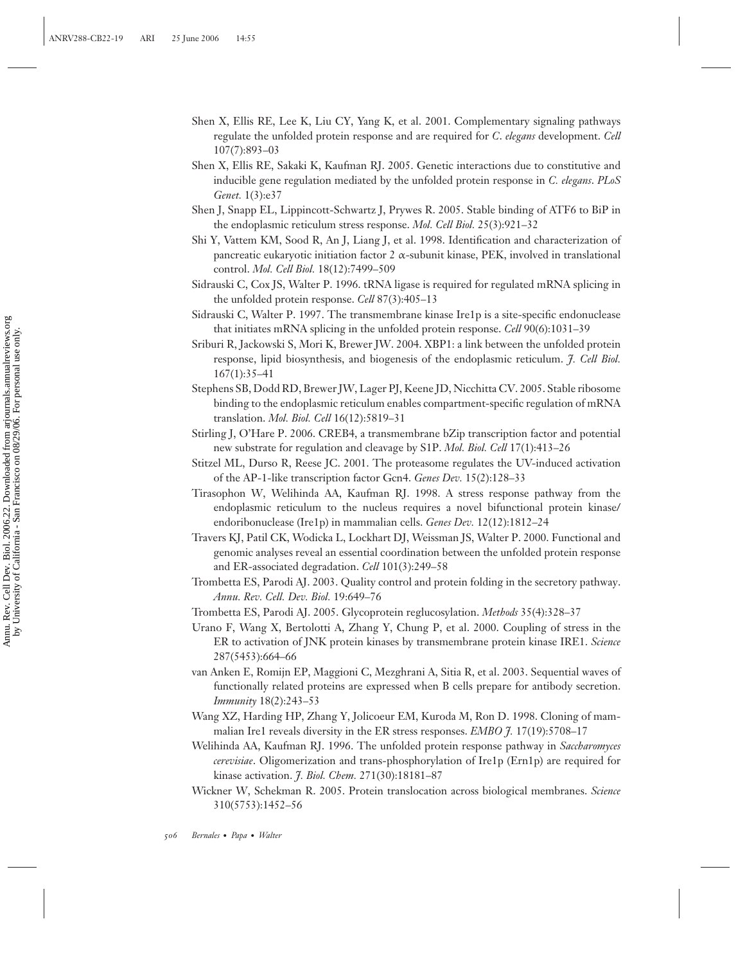- Shen X, Ellis RE, Lee K, Liu CY, Yang K, et al. 2001. Complementary signaling pathways regulate the unfolded protein response and are required for *C*. *elegans* development. *Cell* 107(7):893–03
- Shen X, Ellis RE, Sakaki K, Kaufman RJ. 2005. Genetic interactions due to constitutive and inducible gene regulation mediated by the unfolded protein response in *C. elegans*. *PLoS Genet.* 1(3):e37
- Shen J, Snapp EL, Lippincott-Schwartz J, Prywes R. 2005. Stable binding of ATF6 to BiP in the endoplasmic reticulum stress response. *Mol. Cell Biol.* 25(3):921–32
- Shi Y, Vattem KM, Sood R, An J, Liang J, et al. 1998. Identification and characterization of pancreatic eukaryotic initiation factor  $2 \alpha$ -subunit kinase, PEK, involved in translational control. *Mol. Cell Biol.* 18(12):7499–509
- Sidrauski C, Cox JS, Walter P. 1996. tRNA ligase is required for regulated mRNA splicing in the unfolded protein response. *Cell* 87(3):405–13
- Sidrauski C, Walter P. 1997. The transmembrane kinase Ire1p is a site-specific endonuclease that initiates mRNA splicing in the unfolded protein response. *Cell* 90(6):1031–39
- Sriburi R, Jackowski S, Mori K, Brewer JW. 2004. XBP1: a link between the unfolded protein response, lipid biosynthesis, and biogenesis of the endoplasmic reticulum. *J. Cell Biol.* 167(1):35–41
- Stephens SB, Dodd RD, Brewer JW, Lager PJ, Keene JD, Nicchitta CV. 2005. Stable ribosome binding to the endoplasmic reticulum enables compartment-specific regulation of mRNA translation. *Mol. Biol. Cell* 16(12):5819–31
- Stirling J, O'Hare P. 2006. CREB4, a transmembrane bZip transcription factor and potential new substrate for regulation and cleavage by S1P. *Mol. Biol. Cell* 17(1):413–26
- Stitzel ML, Durso R, Reese JC. 2001. The proteasome regulates the UV-induced activation of the AP-1-like transcription factor Gcn4. *Genes Dev.* 15(2):128–33
- Tirasophon W, Welihinda AA, Kaufman RJ. 1998. A stress response pathway from the endoplasmic reticulum to the nucleus requires a novel bifunctional protein kinase/ endoribonuclease (Ire1p) in mammalian cells. *Genes Dev.* 12(12):1812–24
- Travers KJ, Patil CK, Wodicka L, Lockhart DJ, Weissman JS, Walter P. 2000. Functional and genomic analyses reveal an essential coordination between the unfolded protein response and ER-associated degradation. *Cell* 101(3):249–58
- Trombetta ES, Parodi AJ. 2003. Quality control and protein folding in the secretory pathway. *Annu. Rev. Cell. Dev. Biol.* 19:649–76
- Trombetta ES, Parodi AJ. 2005. Glycoprotein reglucosylation. *Methods* 35(4):328–37
- Urano F, Wang X, Bertolotti A, Zhang Y, Chung P, et al. 2000. Coupling of stress in the ER to activation of JNK protein kinases by transmembrane protein kinase IRE1. *Science* 287(5453):664–66
- van Anken E, Romijn EP, Maggioni C, Mezghrani A, Sitia R, et al. 2003. Sequential waves of functionally related proteins are expressed when B cells prepare for antibody secretion. *Immunity* 18(2):243–53
- Wang XZ, Harding HP, Zhang Y, Jolicoeur EM, Kuroda M, Ron D. 1998. Cloning of mammalian Ire1 reveals diversity in the ER stress responses. *EMBO J.* 17(19):5708–17
- Welihinda AA, Kaufman RJ. 1996. The unfolded protein response pathway in *Saccharomyces cerevisiae*. Oligomerization and trans-phosphorylation of Ire1p (Ern1p) are required for kinase activation. *J. Biol. Chem.* 271(30):18181–87
- Wickner W, Schekman R. 2005. Protein translocation across biological membranes. *Science* 310(5753):1452–56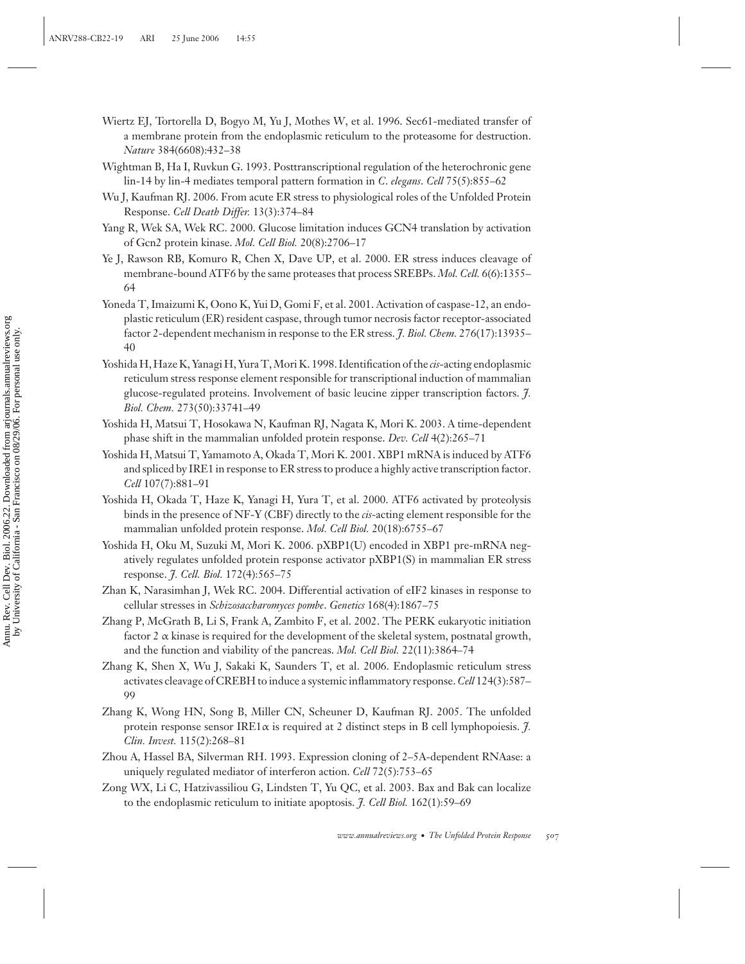- Wiertz EJ, Tortorella D, Bogyo M, Yu J, Mothes W, et al. 1996. Sec61-mediated transfer of a membrane protein from the endoplasmic reticulum to the proteasome for destruction. *Nature* 384(6608):432–38
- Wightman B, Ha I, Ruvkun G. 1993. Posttranscriptional regulation of the heterochronic gene lin-14 by lin-4 mediates temporal pattern formation in *C*. *elegans*. *Cell* 75(5):855–62
- Wu J, Kaufman RJ. 2006. From acute ER stress to physiological roles of the Unfolded Protein Response. *Cell Death Differ.* 13(3):374–84
- Yang R, Wek SA, Wek RC. 2000. Glucose limitation induces GCN4 translation by activation of Gcn2 protein kinase. *Mol. Cell Biol.* 20(8):2706–17
- Ye J, Rawson RB, Komuro R, Chen X, Dave UP, et al. 2000. ER stress induces cleavage of membrane-bound ATF6 by the same proteases that process SREBPs. *Mol. Cell.* 6(6):1355– 64
- Yoneda T, Imaizumi K, Oono K, Yui D, Gomi F, et al. 2001. Activation of caspase-12, an endoplastic reticulum (ER) resident caspase, through tumor necrosis factor receptor-associated factor 2-dependent mechanism in response to the ER stress. *J. Biol. Chem.* 276(17):13935– 40
- Yoshida H, Haze K, Yanagi H, Yura T, Mori K. 1998. Identification of the *cis*-acting endoplasmic reticulum stress response element responsible for transcriptional induction of mammalian glucose-regulated proteins. Involvement of basic leucine zipper transcription factors. *J. Biol. Chem.* 273(50):33741–49
- Yoshida H, Matsui T, Hosokawa N, Kaufman RJ, Nagata K, Mori K. 2003. A time-dependent phase shift in the mammalian unfolded protein response. *Dev. Cell* 4(2):265–71
- Yoshida H, Matsui T, Yamamoto A, Okada T, Mori K. 2001. XBP1 mRNA is induced by ATF6 and spliced by IRE1 in response to ER stress to produce a highly active transcription factor. *Cell* 107(7):881–91
- Yoshida H, Okada T, Haze K, Yanagi H, Yura T, et al. 2000. ATF6 activated by proteolysis binds in the presence of NF-Y (CBF) directly to the *cis*-acting element responsible for the mammalian unfolded protein response. *Mol. Cell Biol.* 20(18):6755–67
- Yoshida H, Oku M, Suzuki M, Mori K. 2006. pXBP1(U) encoded in XBP1 pre-mRNA negatively regulates unfolded protein response activator pXBP1(S) in mammalian ER stress response. *J. Cell. Biol.* 172(4):565–75
- Zhan K, Narasimhan J, Wek RC. 2004. Differential activation of eIF2 kinases in response to cellular stresses in *Schizosaccharomyces pombe*. *Genetics* 168(4):1867–75
- Zhang P, McGrath B, Li S, Frank A, Zambito F, et al. 2002. The PERK eukaryotic initiation factor 2  $\alpha$  kinase is required for the development of the skeletal system, postnatal growth, and the function and viability of the pancreas. *Mol. Cell Biol.* 22(11):3864–74
- Zhang K, Shen X, Wu J, Sakaki K, Saunders T, et al. 2006. Endoplasmic reticulum stress activates cleavage of CREBH to induce a systemic inflammatory response.*Cell* 124(3):587– 99
- Zhang K, Wong HN, Song B, Miller CN, Scheuner D, Kaufman RJ. 2005. The unfolded protein response sensor IRE1α is required at 2 distinct steps in B cell lymphopoiesis. *J. Clin. Invest.* 115(2):268–81
- Zhou A, Hassel BA, Silverman RH. 1993. Expression cloning of 2–5A-dependent RNAase: a uniquely regulated mediator of interferon action. *Cell* 72(5):753–65
- Zong WX, Li C, Hatzivassiliou G, Lindsten T, Yu QC, et al. 2003. Bax and Bak can localize to the endoplasmic reticulum to initiate apoptosis. *J. Cell Biol.* 162(1):59–69